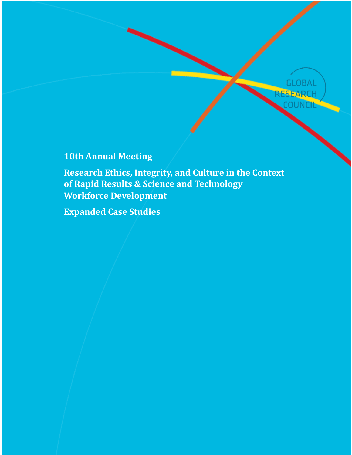

# **10th Annual Meeting**

**Research Ethics, Integrity, and Culture in the Context of Rapid Results & Science and Technology Workforce Development**

**Expanded Case Studies**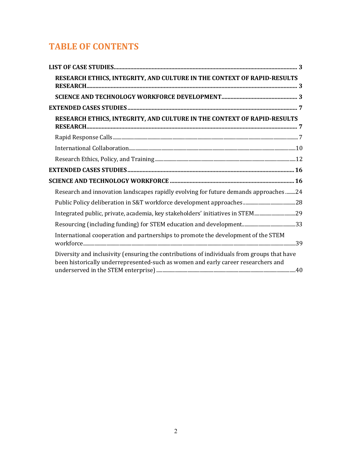# **TABLE OF CONTENTS**

| RESEARCH ETHICS, INTEGRITY, AND CULTURE IN THE CONTEXT OF RAPID-RESULTS                                                                                                         |  |
|---------------------------------------------------------------------------------------------------------------------------------------------------------------------------------|--|
|                                                                                                                                                                                 |  |
|                                                                                                                                                                                 |  |
| RESEARCH ETHICS, INTEGRITY, AND CULTURE IN THE CONTEXT OF RAPID-RESULTS                                                                                                         |  |
|                                                                                                                                                                                 |  |
|                                                                                                                                                                                 |  |
|                                                                                                                                                                                 |  |
|                                                                                                                                                                                 |  |
|                                                                                                                                                                                 |  |
| Research and innovation landscapes rapidly evolving for future demands approaches 24                                                                                            |  |
|                                                                                                                                                                                 |  |
| Integrated public, private, academia, key stakeholders' initiatives in STEM29                                                                                                   |  |
|                                                                                                                                                                                 |  |
| International cooperation and partnerships to promote the development of the STEM                                                                                               |  |
| Diversity and inclusivity (ensuring the contributions of individuals from groups that have<br>been historically underrepresented-such as women and early career researchers and |  |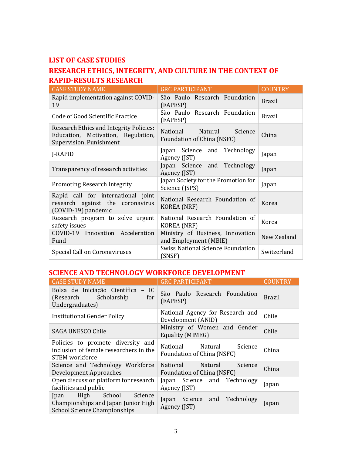## <span id="page-2-0"></span>**LIST OF CASE STUDIES**

## <span id="page-2-1"></span>**RESEARCH ETHICS, INTEGRITY, AND CULTURE IN THE CONTEXT OF RAPID-RESULTS RESEARCH**

| <b>CASE STUDY NAME</b>                                                                                          | <b>GRC PARTICIPANT</b>                                       | <b>COUNTRY</b> |
|-----------------------------------------------------------------------------------------------------------------|--------------------------------------------------------------|----------------|
| Rapid implementation against COVID-<br>19                                                                       | São Paulo Research Foundation<br>(FAPESP)                    | <b>Brazil</b>  |
| Code of Good Scientific Practice                                                                                | São Paulo Research Foundation<br>(FAPESP)                    | <b>Brazil</b>  |
| <b>Research Ethics and Integrity Policies:</b><br>Education, Motivation, Regulation,<br>Supervision, Punishment | National<br>Natural<br>Science<br>Foundation of China (NSFC) | China          |
| J-RAPID                                                                                                         | Japan Science and Technology<br>Agency (JST)                 | Japan          |
| Transparency of research activities                                                                             | Japan Science and Technology<br>Agency (JST)                 | Japan          |
| <b>Promoting Research Integrity</b>                                                                             | Japan Society for the Promotion for<br>Science (JSPS)        | Japan          |
| Rapid call for international joint<br>research against the coronavirus<br>(COVID-19) pandemic                   | National Research Foundation of<br><b>KOREA</b> (NRF)        | Korea          |
| Research program to solve urgent<br>safety issues                                                               | National Research Foundation of<br>KOREA (NRF)               | Korea          |
| COVID-19 Innovation Acceleration<br>Fund                                                                        | Ministry of Business, Innovation<br>and Employment (MBIE)    | New Zealand    |
| Special Call on Coronaviruses                                                                                   | <b>Swiss National Science Foundation</b><br>(SNSF)           | Switzerland    |

## <span id="page-2-2"></span>**SCIENCE AND TECHNOLOGY WORKFORCE DEVELOPMENT**

| <b>CASE STUDY NAME</b>                                                                                       | <b>GRC PARTICIPANT</b>                                              | COUNTRY       |
|--------------------------------------------------------------------------------------------------------------|---------------------------------------------------------------------|---------------|
| Bolsa de Iniciação Científica - IC<br>(Research Scholarship)<br>for<br>Undergraduates)                       | São Paulo Research Foundation<br>(FAPESP)                           | <b>Brazil</b> |
| <b>Institutional Gender Policy</b>                                                                           | National Agency for Research and<br>Development (ANID)              | Chile         |
| SAGA UNESCO Chile                                                                                            | Ministry of Women and Gender<br>Equality (MIMEG)                    | Chile         |
| Policies to promote diversity and<br>inclusion of female researchers in the<br>STEM workforce                | Natural<br>National<br>Science<br>Foundation of China (NSFC)        | China         |
| Science and Technology Workforce<br>Development Approaches                                                   | <b>National</b><br>Natural<br>Science<br>Foundation of China (NSFC) | China         |
| Open discussion platform for research<br>facilities and public                                               | Japan Science and Technology<br>Agency (JST)                        | Japan         |
| High School<br>Science<br>Jpan<br>Championships and Japan Junior High<br><b>School Science Championships</b> | Japan Science and Technology<br>Agency (JST)                        | Japan         |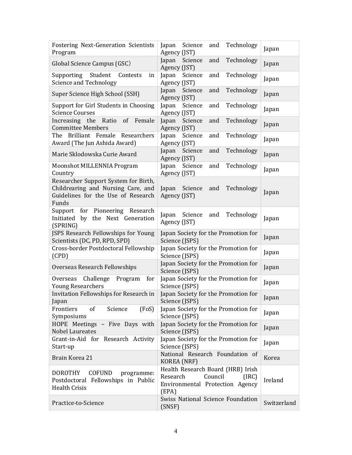| <b>Fostering Next-Generation Scientists</b><br>Program                                                                    | Technology<br>Science<br>and<br>Japan<br>Agency (JST)                                                         | Japan       |
|---------------------------------------------------------------------------------------------------------------------------|---------------------------------------------------------------------------------------------------------------|-------------|
| Global Science Campus (GSC)                                                                                               | Technology<br>Science<br>and<br>Japan<br>Agency (JST)                                                         | Japan       |
| Supporting<br>Student<br>Contests<br>in<br><b>Science and Technology</b>                                                  | Science<br>Technology<br>Japan<br>and<br>Agency (JST)                                                         | Japan       |
| Super Science High School (SSH)                                                                                           | Technology<br>Japan<br>Science<br>and<br>Agency (JST)                                                         | Japan       |
| Support for Girl Students in Choosing<br><b>Science Courses</b>                                                           | Technology<br>Science<br>Japan<br>and<br>Agency (JST)                                                         | Japan       |
| of<br>Increasing the Ratio<br>Female<br><b>Committee Members</b>                                                          | Japan<br>Science<br>Technology<br>and<br>Agency (JST)                                                         | Japan       |
| The Brilliant Female Researchers<br>Award (The Jun Ashida Award)                                                          | Technology<br>Science<br>Japan<br>and<br>Agency (JST)                                                         | Japan       |
| Marie Sklodowska Curie Award                                                                                              | Technology<br>Japan<br>Science<br>and<br>Agency (JST)                                                         | Japan       |
| Moonshot MILLENNIA Program<br>Country                                                                                     | Science<br>Technology<br>Japan<br>and<br>Agency (JST)                                                         | Japan       |
| Researcher Support System for Birth,<br>Childrearing and Nursing Care, and<br>Guidelines for the Use of Research<br>Funds | Technology<br>Japan<br>Science<br>and<br>Agency (JST)                                                         | Japan       |
| Support for Pioneering Research<br>Initiated by the Next Generation<br>(SPRING)                                           | Science<br>and<br>Technology<br>Japan<br>Agency (JST)                                                         | Japan       |
| JSPS Research Fellowships for Young<br>Scientists (DC, PD, RPD, SPD)                                                      | Japan Society for the Promotion for<br>Science (JSPS)                                                         | Japan       |
| Cross-border Postdoctoral Fellowship<br>(CPD)                                                                             | Japan Society for the Promotion for<br>Science (JSPS)                                                         | Japan       |
| Overseas Research Fellowships                                                                                             | Japan Society for the Promotion for<br>Science (JSPS)                                                         | Japan       |
| Challenge<br>Overseas<br>Program<br>for<br><b>Young Researchers</b>                                                       | Japan Society for the Promotion for<br>Science (JSPS)                                                         | Japan       |
| Invitation Fellowships for Research in<br>Japan                                                                           | Japan Society for the Promotion for<br>Science (JSPS)                                                         | Japan       |
| Frontiers<br>(FoS)<br>of<br>Science<br>Symposiums                                                                         | Japan Society for the Promotion for<br>Science (JSPS)                                                         | Japan       |
| HOPE Meetings - Five Days with<br><b>Nobel Laureates</b>                                                                  | Japan Society for the Promotion for<br>Science (JSPS)                                                         | Japan       |
| Grant-in-Aid for Research Activity<br>Start-up                                                                            | Japan Society for the Promotion for<br>Science (JSPS)                                                         | Japan       |
| Brain Korea 21                                                                                                            | National Research Foundation of<br><b>KOREA</b> (NRF)                                                         | Korea       |
| <b>COFUND</b><br><b>DOROTHY</b><br>programme:<br>Postdoctoral Fellowships in Public<br><b>Health Crisis</b>               | Health Research Board (HRB) Irish<br>Research<br>Council<br>(IRC)<br>Environmental Protection Agency<br>(EPA) | Ireland     |
| Practice-to-Science                                                                                                       | Swiss National Science Foundation<br>(SNSF)                                                                   | Switzerland |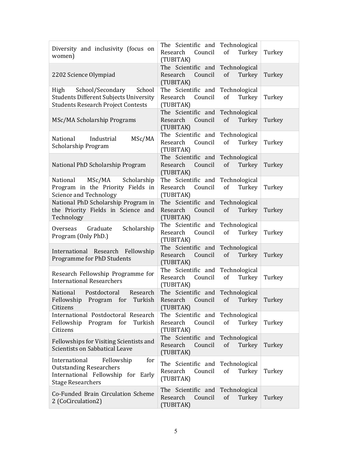| Diversity and inclusivity (focus on<br>women)                                                                                          | The Scientific and Technological<br>Council<br>of<br>Research<br>Turkey<br>(TUBITAK)    | Turkey |
|----------------------------------------------------------------------------------------------------------------------------------------|-----------------------------------------------------------------------------------------|--------|
| 2202 Science Olympiad                                                                                                                  | The Scientific and Technological<br>Research<br>Council<br>of<br>Turkey<br>(TUBITAK)    | Turkey |
| School/Secondary<br>School<br>High<br><b>Students Different Subjects University</b><br><b>Students Research Project Contests</b>       | The Scientific and Technological<br>Research<br>Council<br>of<br>Turkey<br>(TUBITAK)    | Turkey |
| MSc/MA Scholarship Programs                                                                                                            | The Scientific and Technological<br>Research<br>Council<br>of<br>Turkey<br>(TUBITAK)    | Turkey |
| MSc/MA<br>Industrial<br>National<br>Scholarship Program                                                                                | The Scientific and Technological<br>Council<br>of<br>Turkey<br>Research<br>(TUBITAK)    | Turkey |
| National PhD Scholarship Program                                                                                                       | The Scientific and Technological<br>Council<br>of<br>Research<br>Turkey<br>(TUBITAK)    | Turkey |
| MSc/MA<br>Scholarship<br>National<br>Program in the Priority Fields in<br>Science and Technology                                       | The Scientific and Technological<br>Council<br>Research<br>of<br>Turkey<br>(TUBITAK)    | Turkey |
| National PhD Scholarship Program in<br>the Priority Fields in Science and<br>Technology                                                | The Scientific and Technological<br>Council<br>of<br>Research<br>Turkey<br>(TUBITAK)    | Turkey |
| Overseas Graduate<br>Scholarship<br>Program (Only PhD.)                                                                                | The Scientific and Technological<br>Research Council<br>of<br>Turkey<br>(TUBITAK)       | Turkey |
| International Research Fellowship<br>Programme for PhD Students                                                                        | The Scientific and Technological<br>Council<br>of<br>Research<br>Turkey<br>(TUBITAK)    | Turkey |
| Research Fellowship Programme for<br><b>International Researchers</b>                                                                  | The Scientific and Technological<br>Turkey<br>Council<br>of<br>Research<br>(TUBITAK)    | Turkey |
| National Postdoctoral<br>Research<br>Fellowship<br>Program<br>for<br>Turkish<br>Citizens                                               | The Scientific and Technological<br>Research<br>Council<br>of<br>Turkey<br>(TUBITAK)    | Turkey |
| International Postdoctoral Research<br>Fellowship Program for<br>Turkish<br>Citizens                                                   | The Scientific and Technological<br>Research<br>Council<br>of<br>Turkey<br>(TUBITAK)    | Turkey |
| Fellowships for Visiting Scientists and<br>Scientists on Sabbatical Leave                                                              | The Scientific and Technological<br>Research<br>Council<br>of<br>Turkey<br>(TUBITAK)    | Turkey |
| International<br>Fellowship<br>for<br><b>Outstanding Researchers</b><br>International Fellowship for Early<br><b>Stage Researchers</b> | The Scientific and Technological<br>Council<br>Research<br>of<br>Turkey<br>(TUBITAK)    | Turkey |
| Co-Funded Brain Circulation Scheme<br>2 (CoCirculation2)                                                                               | The Scientific and<br>Technological<br>Research<br>Council<br>of<br>Turkey<br>(TUBITAK) | Turkey |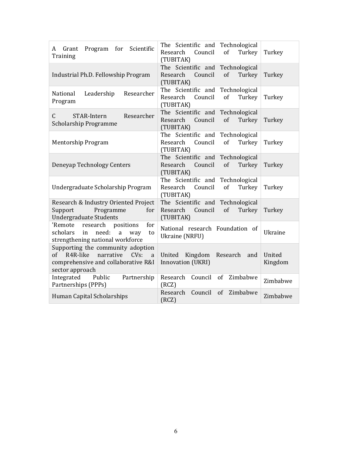<span id="page-5-0"></span>

| for Scientific<br>Program<br>Grant<br>A<br>Training                                                                                                | The Scientific and Technological<br>of<br>Research<br>Council<br>Turkey<br>(TUBITAK)    | Turkey            |
|----------------------------------------------------------------------------------------------------------------------------------------------------|-----------------------------------------------------------------------------------------|-------------------|
| Industrial Ph.D. Fellowship Program                                                                                                                | The Scientific and Technological<br>of<br>Research<br>Council<br>Turkey<br>(TUBITAK)    | Turkey            |
| Leadership<br>Researcher<br>National<br>Program                                                                                                    | The Scientific and Technological<br>Council<br>of<br>Research<br>Turkey<br>(TUBITAK)    | Turkey            |
| Researcher<br>STAR-Intern<br>C.<br><b>Scholarship Programme</b>                                                                                    | The Scientific and<br>Technological<br>Council<br>of<br>Research<br>Turkey<br>(TUBITAK) | Turkey            |
| Mentorship Program                                                                                                                                 | The Scientific and Technological<br>Research<br>Council<br>of<br>Turkey<br>(TUBITAK)    | Turkey            |
| Deneyap Technology Centers                                                                                                                         | The Scientific and Technological<br>Research<br>Council<br>of<br>Turkey<br>(TUBITAK)    | Turkey            |
| Undergraduate Scholarship Program                                                                                                                  | The Scientific and Technological<br>Council<br>of<br>Research<br>Turkey<br>(TUBITAK)    | Turkey            |
| Research & Industry Oriented Project<br>Support<br>Programme<br>for<br><b>Undergraduate Students</b>                                               | The Scientific and Technological<br>Research<br>Council<br>of<br>Turkey<br>(TUBITAK)    | Turkey            |
| 'Remote<br>research<br>positions<br>for<br>scholars<br>in<br>need:<br>to<br>a<br>way<br>strengthening national workforce                           | National research Foundation of<br>Ukraine (NRFU)                                       | Ukraine           |
| Supporting the community adoption<br>R4R-like<br>narrative<br>$CVs$ :<br>$\sigma$ f<br>a<br>comprehensive and collaborative R&I<br>sector approach | United<br>Kingdom<br>Research<br>and<br>Innovation (UKRI)                               | United<br>Kingdom |
| Integrated<br>Public<br>Partnership<br>Partnerships (PPPs)                                                                                         | Research<br>Council<br>of<br>Zimbabwe<br>(RCZ)                                          | Zimbabwe          |
| Human Capital Scholarships                                                                                                                         | Zimbabwe<br>Research<br>Council<br>of<br>(RCZ)                                          | Zimbabwe          |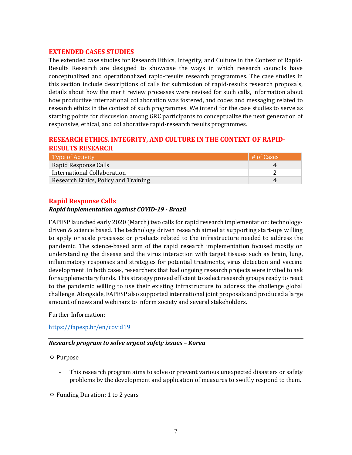#### **EXTENDED CASES STUDIES**

The extended case studies for Research Ethics, Integrity, and Culture in the Context of Rapid-Results Research are designed to showcase the ways in which research councils have conceptualized and operationalized rapid-results research programmes. The case studies in this section include descriptions of calls for submission of rapid-results research proposals, details about how the merit review processes were revised for such calls, information about how productive international collaboration was fostered, and codes and messaging related to research ethics in the context of such programmes. We intend for the case studies to serve as starting points for discussion among GRC participants to conceptualize the next generation of responsive, ethical, and collaborative rapid-research results programmes.

## <span id="page-6-0"></span>**RESEARCH ETHICS, INTEGRITY, AND CULTURE IN THE CONTEXT OF RAPID-RESULTS RESEARCH**

| Type of Activity                     | # of Cases |
|--------------------------------------|------------|
| Rapid Response Calls                 |            |
| International Collaboration          |            |
| Research Ethics, Policy and Training |            |

## <span id="page-6-1"></span>**Rapid Response Calls**

#### *Rapid implementation against COVID-19 - Brazil*

FAPESP launched early 2020 (March) two calls for rapid research implementation: technologydriven & science based. The technology driven research aimed at supporting start-ups willing to apply or scale processes or products related to the infrastructure needed to address the pandemic. The science-based arm of the rapid research implementation focused mostly on understanding the disease and the virus interaction with target tissues such as brain, lung, inflammatory responses and strategies for potential treatments, virus detection and vaccine development. In both cases, researchers that had ongoing research projects were invited to ask for supplementary funds. This strategy proved efficient to select research groups ready to react to the pandemic willing to use their existing infrastructure to address the challenge global challenge. Alongside, FAPESP also supported international joint proposals and produced a large amount of news and webinars to inform society and several stakeholders.

Further Information:

<https://fapesp.br/en/covid19>

#### *Research program to solve urgent safety issues – Korea*

#### ㅇ Purpose

- This research program aims to solve or prevent various unexpected disasters or safety problems by the development and application of measures to swiftly respond to them.
- ㅇ Funding Duration: 1 to 2 years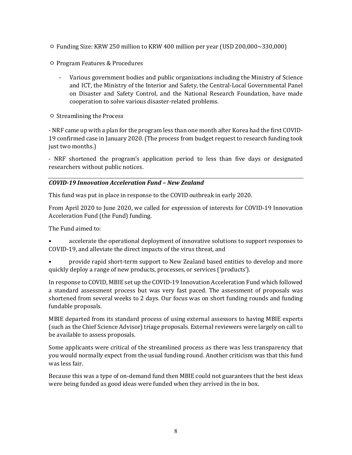- ㅇ Funding Size: KRW 250 million to KRW 400 million per year (USD 200,000~330,000)
- ㅇ Program Features & Procedures
	- Various government bodies and public organizations including the Ministry of Science and ICT, the Ministry of the Interior and Safety, the Central-Local Governmental Panel on Disaster and Safety Control, and the National Research Foundation, have made cooperation to solve various disaster-related problems.
- ㅇ Streamlining the Process

- NRF came up with a plan for the program less than one month after Korea had the first COVID-19 confirmed case in January 2020. (The process from budget request to research funding took just two months.)

- NRF shortened the program's application period to less than five days or designated researchers without public notices.

## *COVID-19 Innovation Acceleration Fund – New Zealand*

This fund was put in place in response to the COVID outbreak in early 2020.

From April 2020 to June 2020, we called for expression of interests for COVID-19 Innovation Acceleration Fund (the Fund) funding.

The Fund aimed to:

• accelerate the operational deployment of innovative solutions to support responses to COVID-19, and alleviate the direct impacts of the virus threat, and

• provide rapid short-term support to New Zealand based entities to develop and more quickly deploy a range of new products, processes, or services ('products').

In response to COVID, MBIE set up the COVID-19 Innovation Acceleration Fund which followed a standard assessment process but was very fast paced. The assessment of proposals was shortened from several weeks to 2 days. Our focus was on short funding rounds and funding fundable proposals.

MBIE departed from its standard process of using external assessors to having MBIE experts (such as the Chief Science Advisor) triage proposals. External reviewers were largely on call to be available to assess proposals.

Some applicants were critical of the streamlined process as there was less transparency that you would normally expect from the usual funding round. Another criticism was that this fund was less fair.

Because this was a type of on-demand fund then MBIE could not guarantees that the best ideas were being funded as good ideas were funded when they arrived in the in box.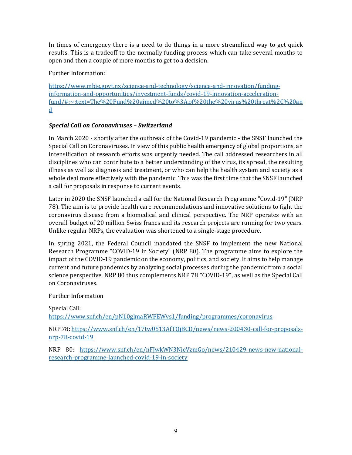In times of emergency there is a need to do things in a more streamlined way to get quick results. This is a tradeoff to the normally funding process which can take several months to open and then a couple of more months to get to a decision.

Further Information:

[https://www.mbie.govt.nz/science-and-technology/science-and-innovation/funding](https://www.mbie.govt.nz/science-and-technology/science-and-innovation/funding-information-and-opportunities/investment-funds/covid-19-innovation-acceleration-fund/#:%7E:text=The%20Fund%20aimed%20to%3A,of%20the%20virus%20threat%2C%20and)[information-and-opportunities/investment-funds/covid-19-innovation-acceleration](https://www.mbie.govt.nz/science-and-technology/science-and-innovation/funding-information-and-opportunities/investment-funds/covid-19-innovation-acceleration-fund/#:%7E:text=The%20Fund%20aimed%20to%3A,of%20the%20virus%20threat%2C%20and)[fund/#:~:text=The%20Fund%20aimed%20to%3A,of%20the%20virus%20threat%2C%20an](https://www.mbie.govt.nz/science-and-technology/science-and-innovation/funding-information-and-opportunities/investment-funds/covid-19-innovation-acceleration-fund/#:%7E:text=The%20Fund%20aimed%20to%3A,of%20the%20virus%20threat%2C%20and) [d](https://www.mbie.govt.nz/science-and-technology/science-and-innovation/funding-information-and-opportunities/investment-funds/covid-19-innovation-acceleration-fund/#:%7E:text=The%20Fund%20aimed%20to%3A,of%20the%20virus%20threat%2C%20and)

## *Special Call on Coronaviruses – Switzerland*

In March 2020 - shortly after the outbreak of the Covid-19 pandemic - the SNSF launched the Special Call on Coronaviruses. In view of this public health emergency of global proportions, an intensification of research efforts was urgently needed. The call addressed researchers in all disciplines who can contribute to a better understanding of the virus, its spread, the resulting illness as well as diagnosis and treatment, or who can help the health system and society as a whole deal more effectively with the pandemic. This was the first time that the SNSF launched a call for proposals in response to current events.

Later in 2020 the SNSF launched a call for the National Research Programme "Covid-19" (NRP 78). The aim is to provide health care recommendations and innovative solutions to fight the coronavirus disease from a biomedical and clinical perspective. The NRP operates with an overall budget of 20 million Swiss francs and its research projects are running for two years. Unlike regular NRPs, the evaluation was shortened to a single-stage procedure.

In spring 2021, the Federal Council mandated the SNSF to implement the new National Research Programme "COVID-19 in Society" (NRP 80). The programme aims to explore the impact of the COVID-19 pandemic on the economy, politics, and society. It aims to help manage current and future pandemics by analyzing social processes during the pandemic from a social science perspective. NRP 80 thus complements NRP 78 "COVID-19", as well as the Special Call on Coronaviruses.

#### Further Information

Special Call:

<https://www.snf.ch/en/pN10glmaRWFEWvs1/funding/programmes/coronavirus>

NRP 78[: https://www.snf.ch/en/17tw0513AfTQjBCD/news/news-200430-call-for-proposals](https://www.snf.ch/en/17tw0513AfTQjBCD/news/news-200430-call-for-proposals-nrp-78-covid-19)[nrp-78-covid-19](https://www.snf.ch/en/17tw0513AfTQjBCD/news/news-200430-call-for-proposals-nrp-78-covid-19)

<span id="page-8-0"></span>NRP 80: [https://www.snf.ch/en/nFJwkWN3NieVzmGo/news/210429-news-new-national](https://www.snf.ch/en/nFJwkWN3NieVzmGo/news/210429-news-new-national-research-programme-launched-covid-19-in-society)[research-programme-launched-covid-19-in-society](https://www.snf.ch/en/nFJwkWN3NieVzmGo/news/210429-news-new-national-research-programme-launched-covid-19-in-society)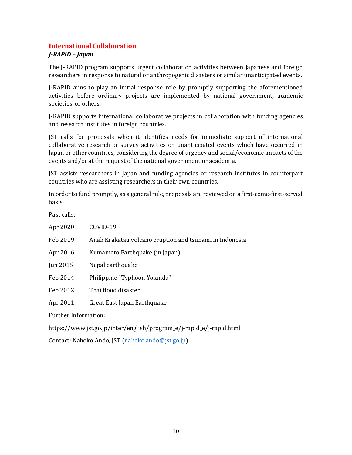## **International Collaboration**

#### *J-RAPID – Japan*

The J-RAPID program supports urgent collaboration activities between Japanese and foreign researchers in response to natural or anthropogenic disasters or similar unanticipated events.

J-RAPID aims to play an initial response role by promptly supporting the aforementioned activities before ordinary projects are implemented by national government, academic societies, or others.

J-RAPID supports international collaborative projects in collaboration with funding agencies and research institutes in foreign countries.

JST calls for proposals when it identifies needs for immediate support of international collaborative research or survey activities on unanticipated events which have occurred in Japan or other countries, considering the degree of urgency and social/economic impacts of the events and/or at the request of the national government or academia.

JST assists researchers in Japan and funding agencies or research institutes in counterpart countries who are assisting researchers in their own countries.

In order to fund promptly, as a general rule, proposals are reviewed on a first-come-first-served basis.

Past calls:

| Apr 2020                    | COVID-19                                                |  |
|-----------------------------|---------------------------------------------------------|--|
| Feb 2019                    | Anak Krakatau volcano eruption and tsunami in Indonesia |  |
| Apr 2016                    | Kumamoto Earthquake (in Japan)                          |  |
| Jun 2015                    | Nepal earthquake                                        |  |
| Feb 2014                    | Philippine "Typhoon Yolanda"                            |  |
| Feb 2012                    | Thai flood disaster                                     |  |
| Apr 2011                    | Great East Japan Earthquake                             |  |
| <b>Further Information:</b> |                                                         |  |
|                             |                                                         |  |

https://www.jst.go.jp/inter/english/program\_e/j-rapid\_e/j-rapid.html

Contact: Nahoko Ando, JST [\(nahoko.ando@jst.go.jp\)](mailto:nahoko.ando@jst.go.jp)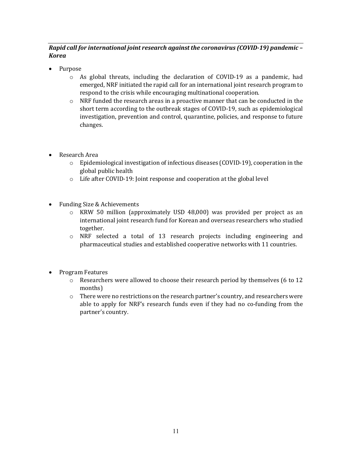## *Rapid call for international joint research against the coronavirus (COVID-19) pandemic – Korea*

- Purpose
	- $\circ$  As global threats, including the declaration of COVID-19 as a pandemic, had emerged, NRF initiated the rapid call for an international joint research program to respond to the crisis while encouraging multinational cooperation.
	- $\circ$  NRF funded the research areas in a proactive manner that can be conducted in the short term according to the outbreak stages of COVID-19, such as epidemiological investigation, prevention and control, quarantine, policies, and response to future changes.
- Research Area
	- o Epidemiological investigation of infectious diseases (COVID-19), cooperation in the global public health
	- o Life after COVID-19: Joint response and cooperation at the global level
- Funding Size & Achievements
	- KRW 50 million (approximately USD 48,000) was provided per project as an international joint research fund for Korean and overseas researchers who studied together.
	- o NRF selected a total of 13 research projects including engineering and pharmaceutical studies and established cooperative networks with 11 countries.
- <span id="page-10-0"></span>• Program Features
	- $\circ$  Researchers were allowed to choose their research period by themselves (6 to 12) months)
	- o There were no restrictions on the research partner's country, and researchers were able to apply for NRF's research funds even if they had no co-funding from the partner's country.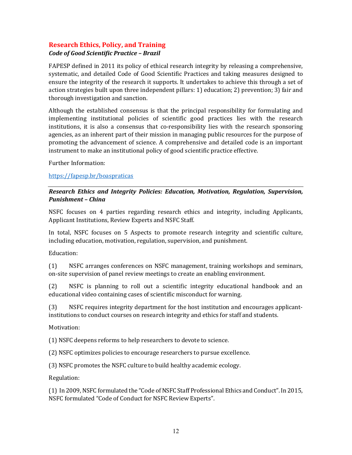## **Research Ethics, Policy, and Training** *Code of Good Scientific Practice – Brazil*

FAPESP defined in 2011 its policy of ethical research integrity by releasing a comprehensive, systematic, and detailed Code of Good Scientific Practices and taking measures designed to ensure the integrity of the research it supports. It undertakes to achieve this through a set of action strategies built upon three independent pillars: 1) education; 2) prevention; 3) fair and thorough investigation and sanction.

Although the established consensus is that the principal responsibility for formulating and implementing institutional policies of scientific good practices lies with the research institutions, it is also a consensus that co-responsibility lies with the research sponsoring agencies, as an inherent part of their mission in managing public resources for the purpose of promoting the advancement of science. A comprehensive and detailed code is an important instrument to make an institutional policy of good scientific practice effective.

Further Information:

## <https://fapesp.br/boaspraticas>

## *Research Ethics and Integrity Policies: Education, Motivation, Regulation, Supervision, Punishment – China*

NSFC focuses on 4 parties regarding research ethics and integrity, including Applicants, Applicant Institutions, Review Experts and NSFC Staff.

In total, NSFC focuses on 5 Aspects to promote research integrity and scientific culture, including education, motivation, regulation, supervision, and punishment.

Education:

(1) NSFC arranges conferences on NSFC management, training workshops and seminars, on-site supervision of panel review meetings to create an enabling environment.

(2) NSFC is planning to roll out a scientific integrity educational handbook and an educational video containing cases of scientific misconduct for warning.

(3) NSFC requires integrity department for the host institution and encourages applicantinstitutions to conduct courses on research integrity and ethics for staff and students.

Motivation:

(1) NSFC deepens reforms to help researchers to devote to science.

(2) NSFC optimizes policies to encourage researchers to pursue excellence.

(3) NSFC promotes the NSFC culture to build healthy academic ecology.

Regulation:

(1) In 2009, NSFC formulated the "Code of NSFC Staff Professional Ethics and Conduct". In 2015, NSFC formulated "Code of Conduct for NSFC Review Experts".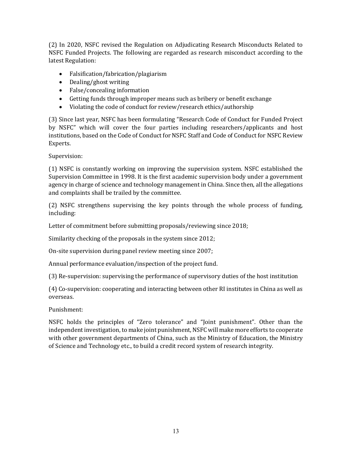(2) In 2020, NSFC revised the Regulation on Adjudicating Research Misconducts Related to NSFC Funded Projects. The following are regarded as research misconduct according to the latest Regulation:

- Falsification/fabrication/plagiarism
- Dealing/ghost writing
- False/concealing information
- Getting funds through improper means such as bribery or benefit exchange
- Violating the code of conduct for review/research ethics/authorship

(3) Since last year, NSFC has been formulating "Research Code of Conduct for Funded Project by NSFC" which will cover the four parties including researchers/applicants and host institutions, based on the Code of Conduct for NSFC Staff and Code of Conduct for NSFC Review Experts.

Supervision:

(1) NSFC is constantly working on improving the supervision system. NSFC established the Supervision Committee in 1998. It is the first academic supervision body under a government agency in charge of science and technology management in China. Since then, all the allegations and complaints shall be trailed by the committee.

(2) NSFC strengthens supervising the key points through the whole process of funding, including:

Letter of commitment before submitting proposals/reviewing since 2018;

Similarity checking of the proposals in the system since 2012;

On-site supervision during panel review meeting since 2007;

Annual performance evaluation/inspection of the project fund.

(3) Re-supervision: supervising the performance of supervisory duties of the host institution

(4) Co-supervision: cooperating and interacting between other RI institutes in China as well as overseas.

Punishment:

NSFC holds the principles of "Zero tolerance" and "Joint punishment". Other than the independent investigation, to make joint punishment, NSFC will make more efforts to cooperate with other government departments of China, such as the Ministry of Education, the Ministry of Science and Technology etc., to build a credit record system of research integrity.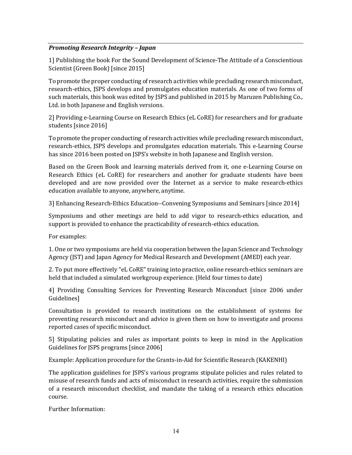## *Promoting Research Integrity – Japan*

1] Publishing the book For the Sound Development of Science-The Attitude of a Conscientious Scientist (Green Book) [since 2015]

To promote the proper conducting of research activities while precluding research misconduct, research-ethics, JSPS develops and promulgates education materials. As one of two forms of such materials, this book was edited by JSPS and published in 2015 by Maruzen Publishing Co., Ltd. in both Japanese and English versions.

2] Providing e-Learning Course on Research Ethics (eL CoRE) for researchers and for graduate students [since 2016]

To promote the proper conducting of research activities while precluding research misconduct, research-ethics, JSPS develops and promulgates education materials. This e-Learning Course has since 2016 been posted on JSPS's website in both Japanese and English version.

Based on the Green Book and learning materials derived from it, one e-Learning Course on Research Ethics (eL CoRE) for researchers and another for graduate students have been developed and are now provided over the Internet as a service to make research-ethics education available to anyone, anywhere, anytime.

3] Enhancing Research-Ethics Education--Convening Symposiums and Seminars [since 2014]

Symposiums and other meetings are held to add vigor to research-ethics education, and support is provided to enhance the practicability of research-ethics education.

For examples:

1. One or two symposiums are held via cooperation between the Japan Science and Technology Agency (JST) and Japan Agency for Medical Research and Development (AMED) each year.

2. To put more effectively "eL CoRE" training into practice, online research-ethics seminars are held that included a simulated workgroup experience. (Held four times to date)

4] Providing Consulting Services for Preventing Research Misconduct [since 2006 under Guidelines]

Consultation is provided to research institutions on the establishment of systems for preventing research misconduct and advice is given them on how to investigate and process reported cases of specific misconduct.

5] Stipulating policies and rules as important points to keep in mind in the Application Guidelines for JSPS programs [since 2006]

Example: Application procedure for the Grants-in-Aid for Scientific Research (KAKENHI)

The application guidelines for JSPS's various programs stipulate policies and rules related to misuse of research funds and acts of misconduct in research activities, require the submission of a research misconduct checklist, and mandate the taking of a research ethics education course.

Further Information: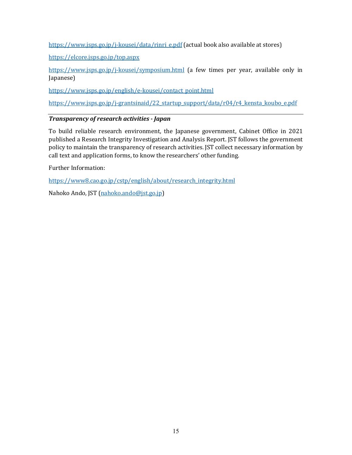[https://www.jsps.go.jp/j-kousei/data/rinri\\_e.pdf](https://www.jsps.go.jp/j-kousei/data/rinri_e.pdf) (actual book also available at stores)

<https://elcore.jsps.go.jp/top.aspx>

<https://www.jsps.go.jp/j-kousei/symposium.html> (a few times per year, available only in Japanese)

[https://www.jsps.go.jp/english/e-kousei/contact\\_point.html](https://www.jsps.go.jp/english/e-kousei/contact_point.html)

https://www.jsps.go.jp/j-grantsinaid/22\_startup\_support/data/r04/r4\_kensta\_koubo\_e.pdf

## *Transparency of research activities - Japan*

To build reliable research environment, the Japanese government, Cabinet Office in 2021 published a Research Integrity Investigation and Analysis Report. JST follows the government policy to maintain the transparency of research activities. JST collect necessary information by call text and application forms, to know the researchers' other funding.

Further Information:

[https://www8.cao.go.jp/cstp/english/about/research\\_integrity.html](https://www8.cao.go.jp/cstp/english/about/research_integrity.html) 

<span id="page-14-0"></span>Nahoko Ando, JST [\(nahoko.ando@jst.go.jp\)](mailto:nahoko.ando@jst.go.jp)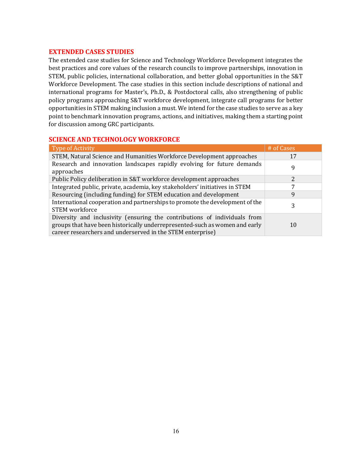#### **EXTENDED CASES STUDIES**

The extended case studies for Science and Technology Workforce Development integrates the best practices and core values of the research councils to improve partnerships, innovation in STEM, public policies, international collaboration, and better global opportunities in the S&T Workforce Development. The case studies in this section include descriptions of national and international programs for Master's, Ph.D., & Postdoctoral calls, also strengthening of public policy programs approaching S&T workforce development, integrate call programs for better opportunities in STEM making inclusion a must. We intend for the case studies to serve as a key point to benchmark innovation programs, actions, and initiatives, making them a starting point for discussion among GRC participants.

## <span id="page-15-0"></span>**SCIENCE AND TECHNOLOGY WORKFORCE**

| Type of Activity                                                                                                                                                                                                       | # of Cases |
|------------------------------------------------------------------------------------------------------------------------------------------------------------------------------------------------------------------------|------------|
| STEM, Natural Science and Humanities Workforce Development approaches                                                                                                                                                  | 17         |
| Research and innovation landscapes rapidly evolving for future demands<br>approaches                                                                                                                                   | 9          |
| Public Policy deliberation in S&T workforce development approaches                                                                                                                                                     |            |
| Integrated public, private, academia, key stakeholders' initiatives in STEM                                                                                                                                            |            |
| Resourcing (including funding) for STEM education and development                                                                                                                                                      | 9          |
| International cooperation and partnerships to promote the development of the<br><b>STEM</b> workforce                                                                                                                  | 3          |
| Diversity and inclusivity (ensuring the contributions of individuals from<br>groups that have been historically underrepresented-such as women and early<br>career researchers and underserved in the STEM enterprise) | 10         |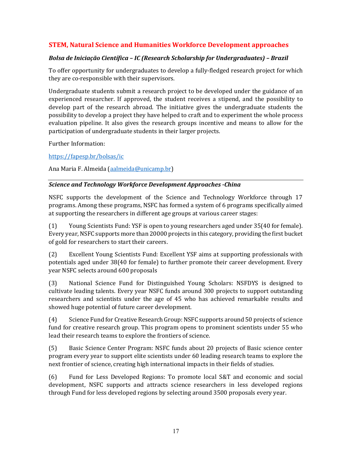## **STEM, Natural Science and Humanities Workforce Development approaches**

#### *Bolsa de Iniciação Científica – IC (Research Scholarship for Undergraduates) – Brazil*

To offer opportunity for undergraduates to develop a fully-fledged research project for which they are co-responsible with their supervisors.

Undergraduate students submit a research project to be developed under the guidance of an experienced researcher. If approved, the student receives a stipend, and the possibility to develop part of the research abroad. The initiative gives the undergraduate students the possibility to develop a project they have helped to craft and to experiment the whole process evaluation pipeline. It also gives the research groups incentive and means to allow for the participation of undergraduate students in their larger projects.

Further Information:

<https://fapesp.br/bolsas/ic>

Ana Maria F. Almeida [\(aalmeida@unicamp.br\)](mailto:aalmeida@unicamp.br)

#### *Science and Technology Workforce Development Approaches -China*

NSFC supports the development of the Science and Technology Workforce through 17 programs. Among these programs, NSFC has formed a system of 6 programs specifically aimed at supporting the researchers in different age groups at various career stages:

(1) Young Scientists Fund: YSF is open to young researchers aged under 35(40 for female). Every year, NSFC supports more than 20000 projects in this category, providing the first bucket of gold for researchers to start their careers.

(2) Excellent Young Scientists Fund: Excellent YSF aims at supporting professionals with potentials aged under 38(40 for female) to further promote their career development. Every year NSFC selects around 600 proposals

(3) National Science Fund for Distinguished Young Scholars: NSFDYS is designed to cultivate leading talents. Every year NSFC funds around 300 projects to support outstanding researchers and scientists under the age of 45 who has achieved remarkable results and showed huge potential of future career development.

(4) Science Fund for Creative Research Group: NSFC supports around 50 projects of science fund for creative research group. This program opens to prominent scientists under 55 who lead their research teams to explore the frontiers of science.

(5) Basic Science Center Program: NSFC funds about 20 projects of Basic science center program every year to support elite scientists under 60 leading research teams to explore the next frontier of science, creating high international impacts in their fields of studies.

(6) Fund for Less Developed Regions: To promote local S&T and economic and social development, NSFC supports and attracts science researchers in less developed regions through Fund for less developed regions by selecting around 3500 proposals every year.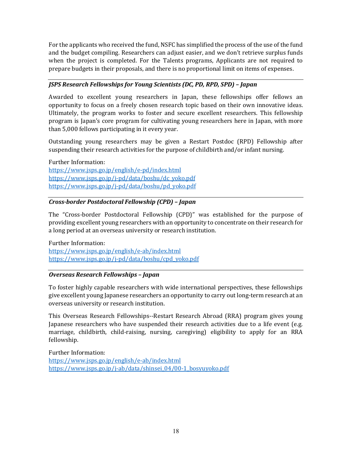For the applicants who received the fund, NSFC has simplified the process of the use of the fund and the budget compiling. Researchers can adjust easier, and we don't retrieve surplus funds when the project is completed. For the Talents programs, Applicants are not required to prepare budgets in their proposals, and there is no proportional limit on items of expenses.

## *JSPS Research Fellowships for Young Scientists (DC, PD, RPD, SPD) – Japan*

Awarded to excellent young researchers in Japan, these fellowships offer fellows an opportunity to focus on a freely chosen research topic based on their own innovative ideas. Ultimately, the program works to foster and secure excellent researchers. This fellowship program is Japan's core program for cultivating young researchers here in Japan, with more than 5,000 fellows participating in it every year.

Outstanding young researchers may be given a Restart Postdoc (RPD) Fellowship after suspending their research activities for the purpose of childbirth and/or infant nursing.

Further Information: <https://www.jsps.go.jp/english/e-pd/index.html> [https://www.jsps.go.jp/j-pd/data/boshu/dc\\_yoko.pdf](https://www.jsps.go.jp/j-pd/data/boshu/dc_yoko.pdf) [https://www.jsps.go.jp/j-pd/data/boshu/pd\\_yoko.pdf](https://www.jsps.go.jp/j-pd/data/boshu/pd_yoko.pdf)

## *Cross-border Postdoctoral Fellowship (CPD) – Japan*

The "Cross-border Postdoctoral Fellowship (CPD)" was established for the purpose of providing excellent young researchers with an opportunity to concentrate on their research for a long period at an overseas university or research institution.

Further Information: <https://www.jsps.go.jp/english/e-ab/index.html> [https://www.jsps.go.jp/j-pd/data/boshu/cpd\\_yoko.pdf](https://www.jsps.go.jp/j-pd/data/boshu/cpd_yoko.pdf) 

#### *Overseas Research Fellowships – Japan*

To foster highly capable researchers with wide international perspectives, these fellowships give excellent young Japanese researchers an opportunity to carry out long-term research at an overseas university or research institution.

This Overseas Research Fellowships--Restart Research Abroad (RRA) program gives young Japanese researchers who have suspended their research activities due to a life event (e.g. marriage, childbirth, child-raising, nursing, caregiving) eligibility to apply for an RRA fellowship.

Further Information: <https://www.jsps.go.jp/english/e-ab/index.html> [https://www.jsps.go.jp/j-ab/data/shinsei\\_04/00-1\\_bosyuyoko.pdf](https://www.jsps.go.jp/j-ab/data/shinsei_04/00-1_bosyuyoko.pdf)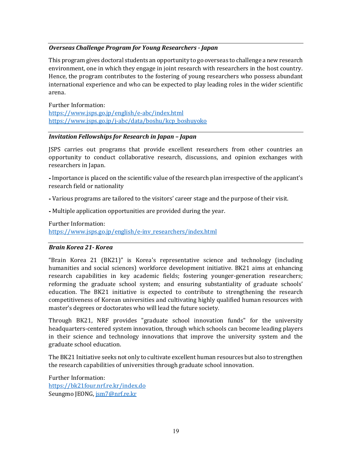#### *Overseas Challenge Program for Young Researchers - Japan*

This program gives doctoral students an opportunity to go overseas to challenge a new research environment, one in which they engage in joint research with researchers in the host country. Hence, the program contributes to the fostering of young researchers who possess abundant international experience and who can be expected to play leading roles in the wider scientific arena.

Further Information: <https://www.jsps.go.jp/english/e-abc/index.html> [https://www.jsps.go.jp/j-abc/data/boshu/kcp\\_boshuyoko](https://www.jsps.go.jp/j-abc/data/boshu/kcp_boshuyoko)

#### *Invitation Fellowships for Research in Japan – Japan*

JSPS carries out programs that provide excellent researchers from other countries an opportunity to conduct collaborative research, discussions, and opinion exchanges with researchers in Japan.

⁃ Importance is placed on the scientific value of the research plan irrespective of the applicant's research field or nationality

⁃ Various programs are tailored to the visitors' career stage and the purpose of their visit.

⁃ Multiple application opportunities are provided during the year.

Further Information:

[https://www.jsps.go.jp/english/e-inv\\_researchers/index.html](https://www.jsps.go.jp/english/e-inv_researchers/index.html) 

#### *Brain Korea 21- Korea*

"Brain Korea 21 (BK21)" is Korea's representative science and technology (including humanities and social sciences) workforce development initiative. BK21 aims at enhancing research capabilities in key academic fields; fostering younger-generation researchers; reforming the graduate school system; and ensuring substantiality of graduate schools' education. The BK21 initiative is expected to contribute to strengthening the research competitiveness of Korean universities and cultivating highly qualified human resources with master's degrees or doctorates who will lead the future society.

Through BK21, NRF provides "graduate school innovation funds" for the university headquarters-centered system innovation, through which schools can become leading players in their science and technology innovations that improve the university system and the graduate school education.

The BK21 Initiative seeks not only to cultivate excellent human resources but also to strengthen the research capabilities of universities through graduate school innovation.

Further Information: <https://bk21four.nrf.re.kr/index.do> Seungmo JEONG[, jsm7@nrf.re.kr](mailto:jsm7@nrf.re.kr)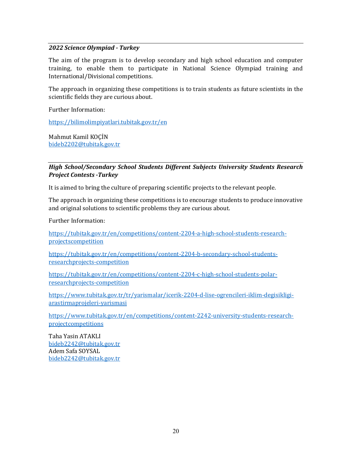#### *2022 Science Olympiad - Turkey*

The aim of the program is to develop secondary and high school education and computer training, to enable them to participate in National Science Olympiad training and International/Divisional competitions.

The approach in organizing these competitions is to train students as future scientists in the scientific fields they are curious about.

Further Information:

<https://bilimolimpiyatlari.tubitak.gov.tr/en>

Mahmut Kamil KOÇİN [bideb2202@tubitak.gov.tr](mailto:bideb2202@tubitak.gov.tr) 

### *High School/Secondary School Students Different Subjects University Students Research Project Contests -Turkey*

It is aimed to bring the culture of preparing scientific projects to the relevant people.

The approach in organizing these competitions is to encourage students to produce innovative and original solutions to scientific problems they are curious about.

Further Information:

[https://tubitak.gov.tr/en/competitions/content-2204-a-high-school-students-research](https://tubitak.gov.tr/en/competitions/content-2204-a-high-school-students-research-projectscompetition)[projectscompetition](https://tubitak.gov.tr/en/competitions/content-2204-a-high-school-students-research-projectscompetition) 

[https://tubitak.gov.tr/en/competitions/content-2204-b-secondary-school-students](https://tubitak.gov.tr/en/competitions/content-2204-b-secondary-school-students-researchprojects-competition)[researchprojects-competition](https://tubitak.gov.tr/en/competitions/content-2204-b-secondary-school-students-researchprojects-competition)

[https://tubitak.gov.tr/en/competitions/content-2204-c-high-school-students-polar](https://tubitak.gov.tr/en/competitions/content-2204-c-high-school-students-polar-researchprojects-competition)[researchprojects-competition](https://tubitak.gov.tr/en/competitions/content-2204-c-high-school-students-polar-researchprojects-competition)

[https://www.tubitak.gov.tr/tr/yarismalar/icerik-2204-d-lise-ogrencileri-iklim-degisikligi](https://www.tubitak.gov.tr/tr/yarismalar/icerik-2204-d-lise-ogrencileri-iklim-degisikligi-arastirmaprojeleri-yarismasi)[arastirmaprojeleri-yarismasi](https://www.tubitak.gov.tr/tr/yarismalar/icerik-2204-d-lise-ogrencileri-iklim-degisikligi-arastirmaprojeleri-yarismasi)

[https://www.tubitak.gov.tr/en/competitions/content-2242-university-students-research](https://www.tubitak.gov.tr/en/competitions/content-2242-university-students-research-projectcompetitions)[projectcompetitions](https://www.tubitak.gov.tr/en/competitions/content-2242-university-students-research-projectcompetitions) 

Taha Yasin ATAKLI [bideb2242@tubitak.gov.tr](mailto:bideb2242@tubitak.gov.tr)  Adem Safa SOYSAL [bideb2242@tubitak.gov.tr](mailto:bideb2242@tubitak.gov.tr)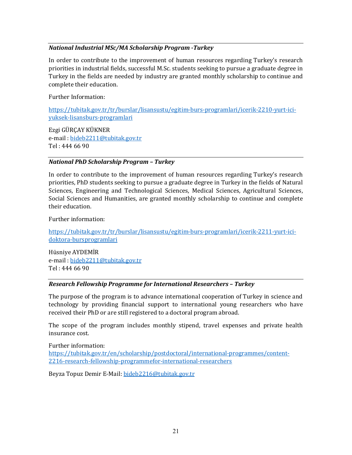#### *National Industrial MSc/MA Scholarship Program -Turkey*

In order to contribute to the improvement of human resources regarding Turkey's research priorities in industrial fields, successful M.Sc. students seeking to pursue a graduate degree in Turkey in the fields are needed by industry are granted monthly scholarship to continue and complete their education.

Further Information:

[https://tubitak.gov.tr/tr/burslar/lisansustu/egitim-burs-programlari/icerik-2210-yurt-ici](https://tubitak.gov.tr/tr/burslar/lisansustu/egitim-burs-programlari/icerik-2210-yurt-ici-yuksek-lisansburs-programlari)[yuksek-lisansburs-programlari](https://tubitak.gov.tr/tr/burslar/lisansustu/egitim-burs-programlari/icerik-2210-yurt-ici-yuksek-lisansburs-programlari)

Ezgi GÜRÇAY KÜKNER e-mail [: bideb2211@tubitak.gov.tr](mailto:bideb2211@tubitak.gov.tr)  Tel : 444 66 90

#### *National PhD Scholarship Program – Turkey*

In order to contribute to the improvement of human resources regarding Turkey's research priorities, PhD students seeking to pursue a graduate degree in Turkey in the fields of Natural Sciences, Engineering and Technological Sciences, Medical Sciences, Agricultural Sciences, Social Sciences and Humanities, are granted monthly scholarship to continue and complete their education.

Further information:

[https://tubitak.gov.tr/tr/burslar/lisansustu/egitim-burs-programlari/icerik-2211-yurt-ici](https://tubitak.gov.tr/tr/burslar/lisansustu/egitim-burs-programlari/icerik-2211-yurt-ici-doktora-bursprogramlari)[doktora-bursprogramlari](https://tubitak.gov.tr/tr/burslar/lisansustu/egitim-burs-programlari/icerik-2211-yurt-ici-doktora-bursprogramlari)

Hüsniye AYDEMİR e-mail [: bideb2211@tubitak.gov.tr](mailto:bideb2211@tubitak.gov.tr) Tel : 444 66 90

#### *Research Fellowship Programme for International Researchers – Turkey*

The purpose of the program is to advance international cooperation of Turkey in science and technology by providing financial support to international young researchers who have received their PhD or are still registered to a doctoral program abroad.

The scope of the program includes monthly stipend, travel expenses and private health insurance cost.

Further information: [https://tubitak.gov.tr/en/scholarship/postdoctoral/international-programmes/content-](https://tubitak.gov.tr/en/scholarship/postdoctoral/international-programmes/content-2216-research-fellowship-programmefor-international-researchers)[2216-research-fellowship-programmefor-international-researchers](https://tubitak.gov.tr/en/scholarship/postdoctoral/international-programmes/content-2216-research-fellowship-programmefor-international-researchers)

Beyza Topuz Demir E-Mail: [bideb2216@tubitak.gov.tr](mailto:bideb2216@tubitak.gov.tr)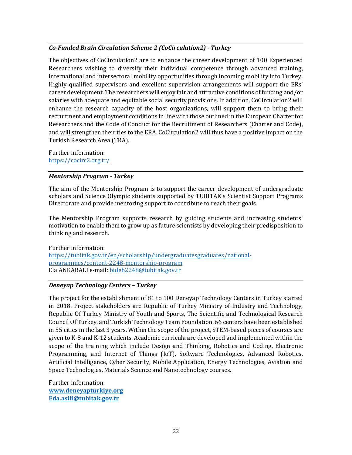## *Co-Funded Brain Circulation Scheme 2 (CoCirculation2) - Turkey*

The objectives of CoCirculation2 are to enhance the career development of 100 Experienced Researchers wishing to diversify their individual competence through advanced training, international and intersectoral mobility opportunities through incoming mobility into Turkey. Highly qualified supervisors and excellent supervision arrangements will support the ERs' career development. The researchers will enjoy fair and attractive conditions of funding and/or salaries with adequate and equitable social security provisions. In addition, CoCirculation2 will enhance the research capacity of the host organizations, will support them to bring their recruitment and employment conditions in line with those outlined in the European Charter for Researchers and the Code of Conduct for the Recruitment of Researchers (Charter and Code), and will strengthen their ties to the ERA. CoCirculation2 will thus have a positive impact on the Turkish Research Area (TRA).

Further information: <https://cocirc2.org.tr/>

#### *Mentorship Program - Turkey*

The aim of the Mentorship Program is to support the career development of undergraduate scholars and Science Olympic students supported by TUBITAK's Scientist Support Programs Directorate and provide mentoring support to contribute to reach their goals.

The Mentorship Program supports research by guiding students and increasing students' motivation to enable them to grow up as future scientists by developing their predisposition to thinking and research.

Further information: [https://tubitak.gov.tr/en/scholarship/undergraduatesgraduates/national](https://tubitak.gov.tr/en/scholarship/undergraduatesgraduates/national-programmes/content-2248-mentorship-program)[programmes/content-2248-mentorship-program](https://tubitak.gov.tr/en/scholarship/undergraduatesgraduates/national-programmes/content-2248-mentorship-program) Ela ANKARALI e-mail: [bideb2248@tubitak.gov.tr](mailto:bideb2248@tubitak.gov.tr)

#### *Deneyap Technology Centers – Turkey*

The project for the establishment of 81 to 100 Deneyap Technology Centers in Turkey started in 2018. Project stakeholders are Republic of Turkey Ministry of Industry and Technology, Republic Of Turkey Ministry of Youth and Sports, The Scientific and Technological Research Council Of Turkey, and Turkish Technology Team Foundation. 66 centers have been established in 55 cities in the last 3 years. Within the scope of the project, STEM-based pieces of courses are given to K-8 and K-12 students. Academic curricula are developed and implemented within the scope of the training which include Design and Thinking, Robotics and Coding, Electronic Programming, and Internet of Things (IoT), Software Technologies, Advanced Robotics, Artificial Intelligence, Cyber Security, Mobile Application, Energy Technologies, Aviation and Space Technologies, Materials Science and Nanotechnology courses.

Further information: **[www.deneyapturkiye.org](http://www.deneyapturkiye.org/) [Eda.asili@tubitak.gov.tr](mailto:Eda.asili@tubitak.gov.tr)**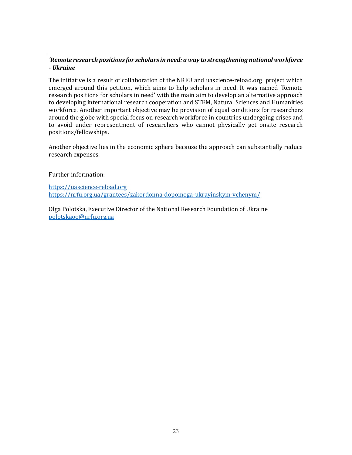## *'Remote research positions for scholars in need: a way to strengthening national workforce - Ukraine*

The initiative is a result of collaboration of the NRFU and uascience-reload.org project which emerged around this petition, which aims to help scholars in need. It was named 'Remote research positions for scholars in need' with the main aim to develop an alternative approach to developing international research cooperation and STEM, Natural Sciences and Humanities workforce. Another important objective may be provision of equal conditions for researchers around the globe with special focus on research workforce in countries undergoing crises and to avoid under representment of researchers who cannot physically get onsite research positions/fellowships.

Another objective lies in the economic sphere because the approach can substantially reduce research expenses.

#### Further information:

[https://uascience-reload.org](https://uascience-reload.org/)  <https://nrfu.org.ua/grantees/zakordonna-dopomoga-ukrayinskym-vchenym/>

<span id="page-22-0"></span>Olga Polotska, Executive Director of the National Research Foundation of Ukraine [polotskaoo@nrfu.org.ua](mailto:polotskaoo@nrfu.org.ua)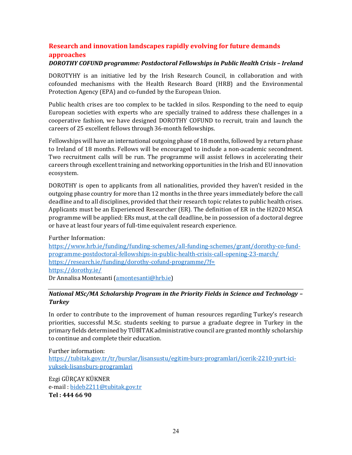## **Research and innovation landscapes rapidly evolving for future demands approaches**

## *DOROTHY COFUND programme: Postdoctoral Fellowships in Public Health Crisis – Ireland*

DOROTYHY is an initiative led by the Irish Research Council, in collaboration and with cofounded mechanisms with the Health Research Board (HRB) and the Environmental Protection Agency (EPA) and co-funded by the European Union.

Public health crises are too complex to be tackled in silos. Responding to the need to equip European societies with experts who are specially trained to address these challenges in a cooperative fashion, we have designed DOROTHY COFUND to recruit, train and launch the careers of 25 excellent fellows through 36-month fellowships.

Fellowships will have an international outgoing phase of 18 months, followed by a return phase to Ireland of 18 months. Fellows will be encouraged to include a non-academic secondment. Two recruitment calls will be run. The programme will assist fellows in accelerating their careers through excellent training and networking opportunities in the Irish and EU innovation ecosystem.

DOROTHY is open to applicants from all nationalities, provided they haven't resided in the outgoing phase country for more than 12 months in the three years immediately before the call deadline and to all disciplines, provided that their research topic relates to public health crises. Applicants must be an Experienced Researcher (ER). The definition of ER in the H2020 MSCA programme will be applied: ERs must, at the call deadline, be in possession of a doctoral degree or have at least four years of full-time equivalent research experience.

Further Information:

[https://www.hrb.ie/funding/funding-schemes/all-funding-schemes/grant/dorothy-co-fund](https://www.hrb.ie/funding/funding-schemes/all-funding-schemes/grant/dorothy-co-fund-programme-postdoctoral-fellowships-in-public-health-crisis-call-opening-23-march/)[programme-postdoctoral-fellowships-in-public-health-crisis-call-opening-23-march/](https://www.hrb.ie/funding/funding-schemes/all-funding-schemes/grant/dorothy-co-fund-programme-postdoctoral-fellowships-in-public-health-crisis-call-opening-23-march/)  <https://research.ie/funding/dorothy-cofund-programme/?f=> <https://dorothy.ie/> Dr Annalisa Montesanti [\(amontesanti@hrb.ie\)](mailto:amontesanti@hrb.ie)

## *National MSc/MA Scholarship Program in the Priority Fields in Science and Technology – Turkey*

In order to contribute to the improvement of human resources regarding Turkey's research priorities, successful M.Sc. students seeking to pursue a graduate degree in Turkey in the primary fields determined by TÜBİTAK administrative council are granted monthly scholarship to continue and complete their education.

Further information: [https://tubitak.gov.tr/tr/burslar/lisansustu/egitim-burs-programlari/icerik-2210-yurt-ici](https://tubitak.gov.tr/tr/burslar/lisansustu/egitim-burs-programlari/icerik-2210-yurt-ici-yuksek-lisansburs-programlari)[yuksek-lisansburs-programlari](https://tubitak.gov.tr/tr/burslar/lisansustu/egitim-burs-programlari/icerik-2210-yurt-ici-yuksek-lisansburs-programlari)

Ezgi GÜRÇAY KÜKNER e-mail [: bideb2211@tubitak.gov.tr](mailto:bideb2211@tubitak.gov.tr)  **Tel : 444 66 90**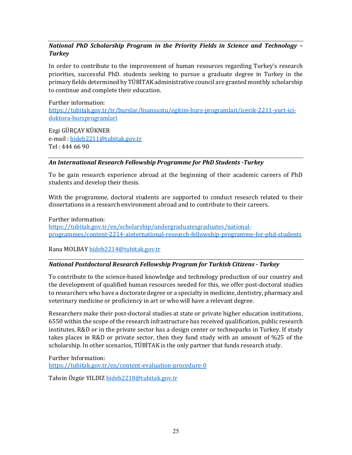## *National PhD Scholarship Program in the Priority Fields in Science and Technology – Turkey*

In order to contribute to the improvement of human resources regarding Turkey's research priorities, successful PhD. students seeking to pursue a graduate degree in Turkey in the primary fields determined by TÜBİTAK administrative council are granted monthly scholarship to continue and complete their education.

Further information: [https://tubitak.gov.tr/tr/burslar/lisansustu/egitim-burs-programlari/icerik-2211-yurt-ici](https://tubitak.gov.tr/tr/burslar/lisansustu/egitim-burs-programlari/icerik-2211-yurt-ici-doktora-bursprogramlari)[doktora-bursprogramlari](https://tubitak.gov.tr/tr/burslar/lisansustu/egitim-burs-programlari/icerik-2211-yurt-ici-doktora-bursprogramlari)

Ezgi GÜRÇAY KÜKNER e-mail [: bideb2211@tubitak.gov.tr](mailto:bideb2211@tubitak.gov.tr)  Tel : 444 66 90

## *An International Research Fellowship Programme for PhD Students -Turkey*

To be gain research experience abroad at the beginning of their academic careers of PhD students and develop their thesis.

With the programme, doctoral students are supported to conduct research related to their dissertations in a research environment abroad and to contribute to their careers.

Further information: [https://tubitak.gov.tr/en/scholarship/undergraduatesgraduates/national](https://tubitak.gov.tr/en/scholarship/undergraduatesgraduates/national-programmes/content-2214-ainternational-research-fellowship-programme-for-phd-students)[programmes/content-2214-ainternational-research-fellowship-programme-for-phd-students](https://tubitak.gov.tr/en/scholarship/undergraduatesgraduates/national-programmes/content-2214-ainternational-research-fellowship-programme-for-phd-students)

Rana MOLBA[Y bideb2214@tubitak.gov.tr](mailto:bideb2214@tubitak.gov.tr)

#### *National Postdoctoral Research Fellowship Program for Turkish Citizens - Turkey*

To contribute to the science-based knowledge and technology production of our country and the development of qualified human resources needed for this, we offer post-doctoral studies to researchers who have a doctorate degree or a specialty in medicine, dentistry, pharmacy and veterinary medicine or proficiency in art or who will have a relevant degree.

Researchers make their post-doctoral studies at state or private higher education institutions, 6550 within the scope of the research infrastructure has received qualification, public research institutes, R&D or in the private sector has a design center or technoparks in Turkey. If study takes places in R&D or private sector, then they fund study with an amount of %25 of the scholarship. In other scenarios, TÜBİTAK is the only partner that funds research study.

Further Information: <https://tubitak.gov.tr/en/content-evaluation-procedure-0>

Tahsin Özgür YILDIZ [bideb2218@tubitak.gov.tr](mailto:bideb2218@tubitak.gov.tr)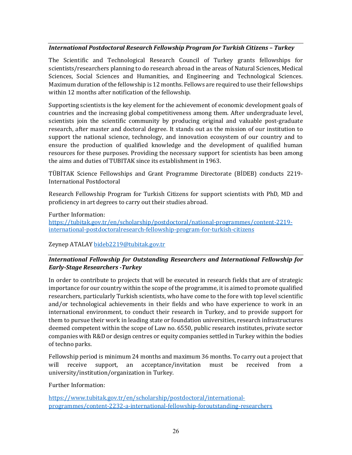#### *International Postdoctoral Research Fellowship Program for Turkish Citizens – Turkey*

The Scientific and Technological Research Council of Turkey grants fellowships for scientists/researchers planning to do research abroad in the areas of Natural Sciences, Medical Sciences, Social Sciences and Humanities, and Engineering and Technological Sciences. Maximum duration of the fellowship is 12 months. Fellows are required to use their fellowships within 12 months after notification of the fellowship.

Supporting scientists is the key element for the achievement of economic development goals of countries and the increasing global competitiveness among them. After undergraduate level, scientists join the scientific community by producing original and valuable post-graduate research, after master and doctoral degree. It stands out as the mission of our institution to support the national science, technology, and innovation ecosystem of our country and to ensure the production of qualified knowledge and the development of qualified human resources for these purposes. Providing the necessary support for scientists has been among the aims and duties of TUBITAK since its establishment in 1963.

TÜBİTAK Science Fellowships and Grant Programme Directorate (BİDEB) conducts 2219- International Postdoctoral

Research Fellowship Program for Turkish Citizens for support scientists with PhD, MD and proficiency in art degrees to carry out their studies abroad.

Further Information:

[https://tubitak.gov.tr/en/scholarship/postdoctoral/national-programmes/content-2219](https://tubitak.gov.tr/en/scholarship/postdoctoral/national-programmes/content-2219-international-postdoctoralresearch-fellowship-program-for-turkish-citizens) [international-postdoctoralresearch-fellowship-program-for-turkish-citizens](https://tubitak.gov.tr/en/scholarship/postdoctoral/national-programmes/content-2219-international-postdoctoralresearch-fellowship-program-for-turkish-citizens)

Zeynep ATALA[Y bideb2219@tubitak.gov.tr](mailto:bideb2219@tubitak.gov.tr)

## *International Fellowship for Outstanding Researchers and International Fellowship for Early-Stage Researchers -Turkey*

In order to contribute to projects that will be executed in research fields that are of strategic importance for our country within the scope of the programme, it is aimed to promote qualified researchers, particularly Turkish scientists, who have come to the fore with top level scientific and/or technological achievements in their fields and who have experience to work in an international environment, to conduct their research in Turkey, and to provide support for them to pursue their work in leading state or foundation universities, research infrastructures deemed competent within the scope of Law no. 6550, public research institutes, private sector companies with R&D or design centres or equity companies settled in Turkey within the bodies of techno parks.

Fellowship period is minimum 24 months and maximum 36 months. To carry out a project that<br>will receive support, an acceptance/invitation must be received from a will receive support, an acceptance/invitation must be received from a university/institution/organization in Turkey.

Further Information:

[https://www.tubitak.gov.tr/en/scholarship/postdoctoral/international](https://www.tubitak.gov.tr/en/scholarship/postdoctoral/international-programmes/content-2232-a-international-fellowship-foroutstanding-researchers)[programmes/content-2232-a-international-fellowship-foroutstanding-researchers](https://www.tubitak.gov.tr/en/scholarship/postdoctoral/international-programmes/content-2232-a-international-fellowship-foroutstanding-researchers)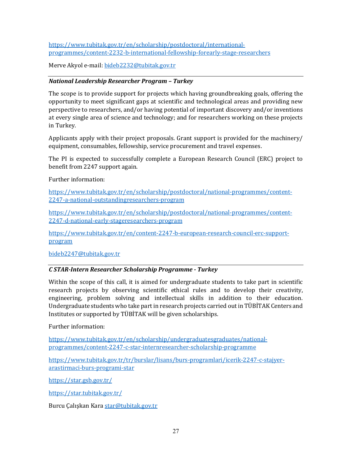[https://www.tubitak.gov.tr/en/scholarship/postdoctoral/international](https://www.tubitak.gov.tr/en/scholarship/postdoctoral/international-programmes/content-2232-b-international-fellowship-forearly-stage-researchers)[programmes/content-2232-b-international-fellowship-forearly-stage-researchers](https://www.tubitak.gov.tr/en/scholarship/postdoctoral/international-programmes/content-2232-b-international-fellowship-forearly-stage-researchers) 

Merve Akyol e-mail[: bideb2232@tubitak.gov.tr](mailto:bideb2232@tubitak.gov.tr)

## *National Leadership Researcher Program – Turkey*

The scope is to provide support for projects which having groundbreaking goals, offering the opportunity to meet significant gaps at scientific and technological areas and providing new perspective to researchers, and/or having potential of important discovery and/or inventions at every single area of science and technology; and for researchers working on these projects in Turkey.

Applicants apply with their project proposals. Grant support is provided for the machinery/ equipment, consumables, fellowship, service procurement and travel expenses.

The PI is expected to successfully complete a European Research Council (ERC) project to benefit from 2247 support again.

Further information:

[https://www.tubitak.gov.tr/en/scholarship/postdoctoral/national-programmes/content-](https://www.tubitak.gov.tr/en/scholarship/postdoctoral/national-programmes/content-2247-a-national-outstandingresearchers-program)[2247-a-national-outstandingresearchers-program](https://www.tubitak.gov.tr/en/scholarship/postdoctoral/national-programmes/content-2247-a-national-outstandingresearchers-program)

[https://www.tubitak.gov.tr/en/scholarship/postdoctoral/national-programmes/content-](https://www.tubitak.gov.tr/en/scholarship/postdoctoral/national-programmes/content-2247-d-national-early-stageresearchers-program)[2247-d-national-early-stageresearchers-program](https://www.tubitak.gov.tr/en/scholarship/postdoctoral/national-programmes/content-2247-d-national-early-stageresearchers-program)

[https://www.tubitak.gov.tr/en/content-2247-b-european-research-council-erc-support](https://www.tubitak.gov.tr/en/content-2247-b-european-research-council-erc-support-program)[program](https://www.tubitak.gov.tr/en/content-2247-b-european-research-council-erc-support-program)

[bideb2247@tubitak.gov.tr](mailto:bideb2247@tubitak.gov.tr) 

#### *C STAR-Intern Researcher Scholarship Programme - Turkey*

Within the scope of this call, it is aimed for undergraduate students to take part in scientific research projects by observing scientific ethical rules and to develop their creativity, engineering, problem solving and intellectual skills in addition to their education. Undergraduate students who take part in research projects carried out in TÜBİTAK Centers and Institutes or supported by TÜBİTAK will be given scholarships.

Further information:

[https://www.tubitak.gov.tr/en/scholarship/undergraduatesgraduates/national](https://www.tubitak.gov.tr/en/scholarship/undergraduatesgraduates/national-programmes/content-2247-c-star-internresearcher-scholarship-programme)[programmes/content-2247-c-star-internresearcher-scholarship-programme](https://www.tubitak.gov.tr/en/scholarship/undergraduatesgraduates/national-programmes/content-2247-c-star-internresearcher-scholarship-programme)

[https://www.tubitak.gov.tr/tr/burslar/lisans/burs-programlari/icerik-2247-c-stajyer](https://www.tubitak.gov.tr/tr/burslar/lisans/burs-programlari/icerik-2247-c-stajyer-arastirmaci-burs-programi-star)[arastirmaci-burs-programi-star](https://www.tubitak.gov.tr/tr/burslar/lisans/burs-programlari/icerik-2247-c-stajyer-arastirmaci-burs-programi-star)

<https://star.gsb.gov.tr/>

<https://star.tubitak.gov.tr/>

Burcu Çalışkan Kara [star@tubitak.gov.tr](mailto:star@tubitak.gov.tr)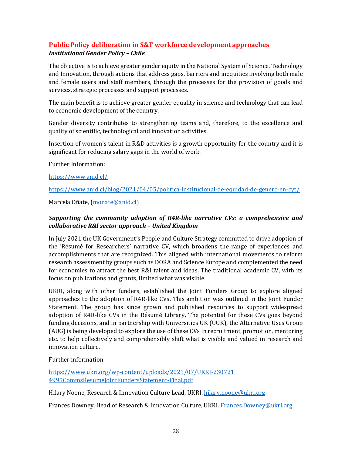## <span id="page-27-0"></span>**Public Policy deliberation in S&T workforce development approaches**  *Institutional Gender Policy – Chile*

The objective is to achieve greater gender equity in the National System of Science, Technology and Innovation, through actions that address gaps, barriers and inequities involving both male and female users and staff members, through the processes for the provision of goods and services, strategic processes and support processes.

The main benefit is to achieve greater gender equality in science and technology that can lead to economic development of the country.

Gender diversity contributes to strengthening teams and, therefore, to the excellence and quality of scientific, technological and innovation activities.

Insertion of women's talent in R&D activities is a growth opportunity for the country and it is significant for reducing salary gaps in the world of work.

Further Information:

<https://www.anid.cl/>

<https://www.anid.cl/blog/2021/04/05/politica-institucional-de-equidad-de-genero-en-cyt/>

Marcela Oñate, [\(monate@anid.cl\)](mailto:monate@anid.cl)

## *Supporting the community adoption of R4R-like narrative CVs: a comprehensive and collaborative R&I sector approach – United Kingdom*

In July 2021 the UK Government's People and Culture Strategy committed to drive adoption of the 'Résumé for Researchers' narrative CV, which broadens the range of experiences and accomplishments that are recognized. This aligned with international movements to reform research assessment by groups such as DORA and Science Europe and complemented the need for economies to attract the best R&I talent and ideas. The traditional academic CV, with its focus on publications and grants, limited what was visible.

UKRI, along with other funders, established the Joint Funders Group to explore aligned approaches to the adoption of R4R-like CVs. This ambition was outlined in the Joint Funder Statement. The group has since grown and published resources to support widespread adoption of R4R-like CVs in the Résumé Library. The potential for these CVs goes beyond funding decisions, and in partnership with Universities UK (UUK), the Alternative Uses Group (AUG) is being developed to explore the use of these CVs in recruitment, promotion, mentoring etc. to help collectively and comprehensibly shift what is visible and valued in research and innovation culture.

Further information:

[https://www.ukri.org/wp-content/uploads/2021/07/UKRI-230721](https://www.ukri.org/wp-content/uploads/2021/07/UKRI-230721%204995CommsResumeJointFundersStatement-Final.pdf)  [4995CommsResumeJointFundersStatement-Final.pdf](https://www.ukri.org/wp-content/uploads/2021/07/UKRI-230721%204995CommsResumeJointFundersStatement-Final.pdf) 

Hilary Noone, Research & Innovation Culture Lead, UKRI. [hilary.noone@ukri.org](mailto:hilary.noone@ukri.org) 

Frances Downey, Head of Research & Innovation Culture, UKRI. Frances.Downey@ukri.org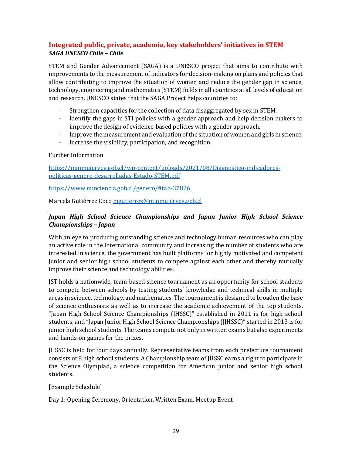## <span id="page-28-0"></span>**Integrated public, private, academia, key stakeholders' initiatives in STEM** *SAGA UNESCO Chile – Chile*

STEM and Gender Advancement (SAGA) is a UNESCO project that aims to contribute with improvements to the measurement of indicators for decision-making on plans and policies that allow contributing to improve the situation of women and reduce the gender gap in science, technology, engineering and mathematics (STEM) fields in all countries at all levels of education and research. UNESCO states that the SAGA Project helps countries to:

- Strengthen capacities for the collection of data disaggregated by sex in STEM.
- Identify the gaps in STI policies with a gender approach and help decision makers to improve the design of evidence-based policies with a gender approach.
- Improve the measurement and evaluation of the situation of women and girls in science.
- Increase the visibility, participation, and recognition

#### Further Information

[https://minmujeryeg.gob.cl/wp-content/uploads/2021/08/Diagnostico-indicadores](https://minmujeryeg.gob.cl/wp-content/uploads/2021/08/Diagnostico-indicadores-politicas-genero-desarrolladas-Estado-STEM.pdf)[politicas-genero-desarrolladas-Estado-STEM.pdf](https://minmujeryeg.gob.cl/wp-content/uploads/2021/08/Diagnostico-indicadores-politicas-genero-desarrolladas-Estado-STEM.pdf)

<https://www.minciencia.gob.cl/genero/#tab-37826>

Marcela Gutiérrez Cocq [mgutierrez@minmujeryeg.gob.cl](mailto:mgutierrez@minmujeryeg.gob.cl) 

## *Japan High School Science Championships and Japan Junior High School Science Championships – Japan*

With an eye to producing outstanding science and technology human resources who can play an active role in the international community and increasing the number of students who are interested in science, the government has built platforms for highly motivated and competent junior and senior high school students to compete against each other and thereby mutually improve their science and technology abilities.

JST holds a nationwide, team-based science tournament as an opportunity for school students to compete between schools by testing students' knowledge and technical skills in multiple areas in science, technology, and mathematics. The tournament is designed to broaden the base of science enthusiasts as well as to increase the academic achievement of the top students. "Japan High School Science Championships (JHSSC)" established in 2011 is for high school students, and "Japan Junior High School Science Championships (JJHSSC)" started in 2013 is for junior high school students. The teams compete not only in written exams but also experiments and hands-on games for the prizes.

JHSSC is held for four days annually. Representative teams from each prefecture tournament consists of 8 high school students. A Championship team of JHSSC earns a right to participate in the Science Olympiad, a science competition for American junior and senior high school students.

#### [Example Schedule]

Day 1: Opening Ceremony, Orientation, Written Exam, Meetup Event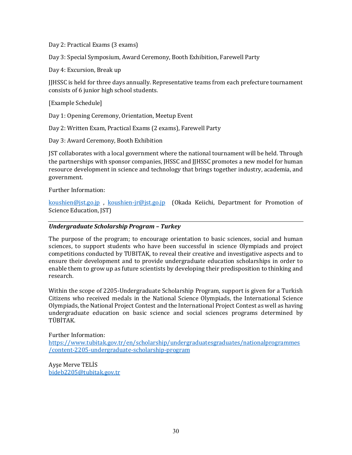Day 2: Practical Exams (3 exams)

Day 3: Special Symposium, Award Ceremony, Booth Exhibition, Farewell Party

Day 4: Excursion, Break up

JJHSSC is held for three days annually. Representative teams from each prefecture tournament consists of 6 junior high school students.

[Example Schedule]

Day 1: Opening Ceremony, Orientation, Meetup Event

Day 2: Written Exam, Practical Exams (2 exams), Farewell Party

Day 3: Award Ceremony, Booth Exhibition

JST collaborates with a local government where the national tournament will be held. Through the partnerships with sponsor companies, JHSSC and JJHSSC promotes a new model for human resource development in science and technology that brings together industry, academia, and government.

Further Information:

[koushien@jst.go.jp](mailto:koushien@jst.go.jp) , [koushien-jr@jst.go.jp](mailto:koushien-jr@jst.go.jp) (Okada Keiichi, Department for Promotion of Science Education, JST)

#### *Undergraduate Scholarship Program – Turkey*

The purpose of the program; to encourage orientation to basic sciences, social and human sciences, to support students who have been successful in science Olympiads and project competitions conducted by TUBITAK, to reveal their creative and investigative aspects and to ensure their development and to provide undergraduate education scholarships in order to enable them to grow up as future scientists by developing their predisposition to thinking and research.

Within the scope of 2205-Undergraduate Scholarship Program, support is given for a Turkish Citizens who received medals in the National Science Olympiads, the International Science Olympiads, the National Project Contest and the International Project Contest as well as having undergraduate education on basic science and social sciences programs determined by TÜBİTAK.

Further Information: [https://www.tubitak.gov.tr/en/scholarship/undergraduatesgraduates/nationalprogrammes](https://www.tubitak.gov.tr/en/scholarship/undergraduatesgraduates/nationalprogrammes/content-2205-undergraduate-scholarship-program) [/content-2205-undergraduate-scholarship-program](https://www.tubitak.gov.tr/en/scholarship/undergraduatesgraduates/nationalprogrammes/content-2205-undergraduate-scholarship-program) 

Ayşe Merve TELİS [bideb2205@tubitak.gov.tr](mailto:bideb2205@tubitak.gov.tr)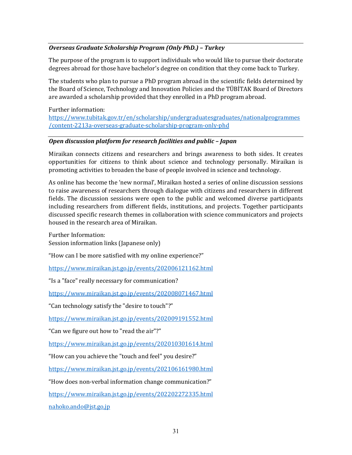## *Overseas Graduate Scholarship Program (Only PhD.) – Turkey*

The purpose of the program is to support individuals who would like to pursue their doctorate degrees abroad for those have bachelor's degree on condition that they come back to Turkey.

The students who plan to pursue a PhD program abroad in the scientific fields determined by the Board of Science, Technology and Innovation Policies and the TÜBİTAK Board of Directors are awarded a scholarship provided that they enrolled in a PhD program abroad.

Further information:

[https://www.tubitak.gov.tr/en/scholarship/undergraduatesgraduates/nationalprogrammes](https://www.tubitak.gov.tr/en/scholarship/undergraduatesgraduates/nationalprogrammes/content-2213a-overseas-graduate-scholarship-program-only-phd) [/content-2213a-overseas-graduate-scholarship-program-only-phd](https://www.tubitak.gov.tr/en/scholarship/undergraduatesgraduates/nationalprogrammes/content-2213a-overseas-graduate-scholarship-program-only-phd)

#### *Open discussion platform for research facilities and public – Japan*

Miraikan connects citizens and researchers and brings awareness to both sides. It creates opportunities for citizens to think about science and technology personally. Miraikan is promoting activities to broaden the base of people involved in science and technology.

As online has become the 'new normal', Miraikan hosted a series of online discussion sessions to raise awareness of researchers through dialogue with citizens and researchers in different fields. The discussion sessions were open to the public and welcomed diverse participants including researchers from different fields, institutions, and projects. Together participants discussed specific research themes in collaboration with science communicators and projects housed in the research area of Miraikan.

Further Information: Session information links (Japanese only)

"How can I be more satisfied with my online experience?"

<https://www.miraikan.jst.go.jp/events/202006121162.html>

"Is a "face" really necessary for communication?

<https://www.miraikan.jst.go.jp/events/202008071467.html>

"Can technology satisfy the "desire to touch"?"

<https://www.miraikan.jst.go.jp/events/202009191552.html>

"Can we figure out how to "read the air"?"

<https://www.miraikan.jst.go.jp/events/202010301614.html>

"How can you achieve the "touch and feel" you desire?"

<https://www.miraikan.jst.go.jp/events/202106161980.html>

"How does non-verbal information change communication?"

<https://www.miraikan.jst.go.jp/events/202202272335.html>

[nahoko.ando@jst.go,jp](mailto:nahoko.ando@jst.go,jp)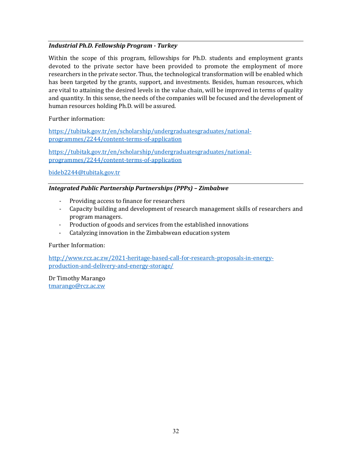## *Industrial Ph.D. Fellowship Program - Turkey*

Within the scope of this program, fellowships for Ph.D. students and employment grants devoted to the private sector have been provided to promote the employment of more researchers in the private sector. Thus, the technological transformation will be enabled which has been targeted by the grants, support, and investments. Besides, human resources, which are vital to attaining the desired levels in the value chain, will be improved in terms of quality and quantity. In this sense, the needs of the companies will be focused and the development of human resources holding Ph.D. will be assured.

Further information:

[https://tubitak.gov.tr/en/scholarship/undergraduatesgraduates/national](https://tubitak.gov.tr/en/scholarship/undergraduatesgraduates/national-programmes/2244/content-terms-of-application)[programmes/2244/content-terms-of-application](https://tubitak.gov.tr/en/scholarship/undergraduatesgraduates/national-programmes/2244/content-terms-of-application)

[https://tubitak.gov.tr/en/scholarship/undergraduatesgraduates/national](https://tubitak.gov.tr/en/scholarship/undergraduatesgraduates/national-programmes/2244/content-terms-of-application)[programmes/2244/content-terms-of-application](https://tubitak.gov.tr/en/scholarship/undergraduatesgraduates/national-programmes/2244/content-terms-of-application)

[bideb2244@tubitak.gov.tr](mailto:bideb2244@tubitak.gov.tr)

#### *Integrated Public Partnership Partnerships (PPPs) – Zimbabwe*

- Providing access to finance for researchers
- Capacity building and development of research management skills of researchers and program managers.
- Production of goods and services from the established innovations
- Catalyzing innovation in the Zimbabwean education system

Further Information:

[http://www.rcz.ac.zw/2021-heritage-based-call-for-research-proposals-in-energy](http://www.rcz.ac.zw/2021-heritage-based-call-for-research-proposals-in-energy-production-and-delivery-and-energy-storage/)[production-and-delivery-and-energy-storage/](http://www.rcz.ac.zw/2021-heritage-based-call-for-research-proposals-in-energy-production-and-delivery-and-energy-storage/) 

<span id="page-31-0"></span>Dr Timothy Marango [tmarango@rcz.ac.zw](mailto:tmarango@rcz.ac.zw)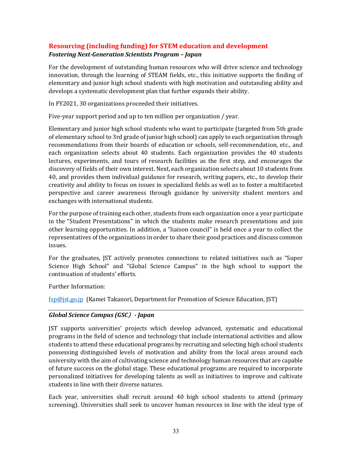## **Resourcing (including funding) for STEM education and development** *Fostering Next-Generation Scientists Program – Japan*

For the development of outstanding human resources who will drive science and technology innovation, through the learning of STEAM fields, etc., this initiative supports the finding of elementary and junior high school students with high motivation and outstanding ability and develops a systematic development plan that further expands their ability.

In FY2021, 30 organizations proceeded their initiatives.

Five-year support period and up to ten million per organization / year.

Elementary and junior high school students who want to participate (targeted from 5th grade of elementary school to 3rd grade of junior high school) can apply to each organization through recommendations from their boards of education or schools, self-recommendation, etc., and each organization selects about 40 students. Each organization provides the 40 students lectures, experiments, and tours of research facilities as the first step, and encourages the discovery of fields of their own interest. Next, each organization selects about 10 students from 40, and provides them individual guidance for research, writing papers, etc., to develop their creativity and ability to focus on issues in specialized fields as well as to foster a multifaceted perspective and career awareness through guidance by university student mentors and exchanges with international students.

For the purpose of training each other, students from each organization once a year participate in the "Student Presentations" in which the students make research presentations and join other learning opportunities. In addition, a "liaison council" is held once a year to collect the representatives of the organizations in order to share their good practices and discuss common issues.

For the graduates, JST actively promotes connections to related initiatives such as "Super Science High School" and "Global Science Campus" in the high school to support the continuation of students' efforts.

Further Information:

[fsp@jst.go.jp](mailto:fsp@jst.go.jp) (Kamei Takanori, Department for Promotion of Science Education, JST)

## *Global Science Campus (GSC*)*- Japan*

JST supports universities' projects which develop advanced, systematic and educational programs in the field of science and technology that include international activities and allow students to attend these educational programs by recruiting and selecting high school students possessing distinguished levels of motivation and ability from the local areas around each university with the aim of cultivating science and technology human resources that are capable of future success on the global stage. These educational programs are required to incorporate personalized initiatives for developing talents as well as initiatives to improve and cultivate students in line with their diverse natures.

Each year, universities shall recruit around 40 high school students to attend (primary screening). Universities shall seek to uncover human resources in line with the ideal type of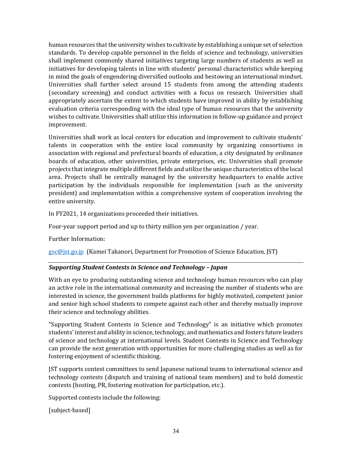human resources that the university wishes to cultivate by establishing a unique set of selection standards. To develop capable personnel in the fields of science and technology, universities shall implement commonly shared initiatives targeting large numbers of students as well as initiatives for developing talents in line with students' personal characteristics while keeping in mind the goals of engendering diversified outlooks and bestowing an international mindset. Universities shall further select around 15 students from among the attending students (secondary screening) and conduct activities with a focus on research. Universities shall appropriately ascertain the extent to which students have improved in ability by establishing evaluation criteria corresponding with the ideal type of human resources that the university wishes to cultivate. Universities shall utilize this information in follow-up guidance and project improvement.

Universities shall work as local centers for education and improvement to cultivate students' talents in cooperation with the entire local community by organizing consortiums in association with regional and prefectural boards of education, a city designated by ordinance boards of education, other universities, private enterprises, etc. Universities shall promote projects that integrate multiple different fields and utilize the unique characteristics of the local area. Projects shall be centrally managed by the university headquarters to enable active participation by the individuals responsible for implementation (such as the university president) and implementation within a comprehensive system of cooperation involving the entire university.

In FY2021, 14 organizations proceeded their initiatives.

Four-year support period and up to thirty million yen per organization / year.

Further Information:

[gsc@jst.go.jp](mailto:gsc@jst.go.jp) (Kamei Takanori, Department for Promotion of Science Education, JST)

## *Supporting Student Contests in Science and Technology – Japan*

With an eye to producing outstanding science and technology human resources who can play an active role in the international community and increasing the number of students who are interested in science, the government builds platforms for highly motivated, competent junior and senior high school students to compete against each other and thereby mutually improve their science and technology abilities.

"Supporting Student Contests in Science and Technology" is an initiative which promotes students' interest and ability in science, technology, and mathematics and fosters future leaders of science and technology at international levels. Student Contests in Science and Technology can provide the next generation with opportunities for more challenging studies as well as for fostering enjoyment of scientific thinking.

JST supports contest committees to send Japanese national teams to international science and technology contests (dispatch and training of national team members) and to hold domestic contests (hosting, PR, fostering motivation for participation, etc.).

Supported contests include the following:

[subject-based]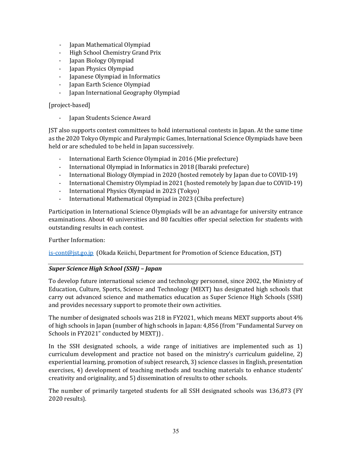- Japan Mathematical Olympiad
- High School Chemistry Grand Prix
- Japan Biology Olympiad
- Japan Physics Olympiad
- Japanese Olympiad in Informatics
- Japan Earth Science Olympiad
- Japan International Geography Olympiad

#### [project-based]

- Japan Students Science Award

JST also supports contest committees to hold international contests in Japan. At the same time as the 2020 Tokyo Olympic and Paralympic Games, International Science Olympiads have been held or are scheduled to be held in Japan successively.

- International Earth Science Olympiad in 2016 (Mie prefecture)
- International Olympiad in Informatics in 2018 (Ibaraki prefecture)
- International Biology Olympiad in 2020 (hosted remotely by Japan due to COVID-19)
- International Chemistry Olympiad in 2021 (hosted remotely by Japan due to COVID-19)
- International Physics Olympiad in 2023 (Tokyo)
- International Mathematical Olympiad in 2023 (Chiba prefecture)

Participation in International Science Olympiads will be an advantage for university entrance examinations. About 40 universities and 80 faculties offer special selection for students with outstanding results in each contest.

Further Information:

[is-cont@jst.go.jp](mailto:is-cont@jst.go.jp) (Okada Keiichi, Department for Promotion of Science Education, JST)

#### *Super Science High School (SSH) – Japan*

To develop future international science and technology personnel, since 2002, the Ministry of Education, Culture, Sports, Science and Technology (MEXT) has designated high schools that carry out advanced science and mathematics education as Super Science High Schools (SSH) and provides necessary support to promote their own activities.

The number of designated schools was 218 in FY2021, which means MEXT supports about 4% of high schools in Japan (number of high schools in Japan: 4,856 (from "Fundamental Survey on Schools in FY2021" conducted by MEXT)).

In the SSH designated schools, a wide range of initiatives are implemented such as 1) curriculum development and practice not based on the ministry's curriculum guideline, 2) experiential learning, promotion of subject research, 3) science classes in English, presentation exercises, 4) development of teaching methods and teaching materials to enhance students' creativity and originality, and 5) dissemination of results to other schools.

The number of primarily targeted students for all SSH designated schools was 136,873 (FY 2020 results).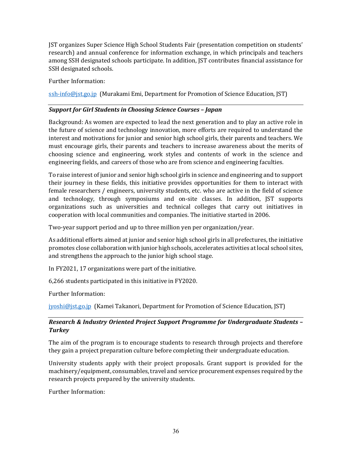JST organizes Super Science High School Students Fair (presentation competition on students' research) and annual conference for information exchange, in which principals and teachers among SSH designated schools participate. In addition, JST contributes financial assistance for SSH designated schools.

Further Information:

[ssh-info@jst.go.jp](mailto:ssh-info@jst.go.jp) (Murakami Emi, Department for Promotion of Science Education, JST)

### *Support for Girl Students in Choosing Science Courses – Japan*

Background: As women are expected to lead the next generation and to play an active role in the future of science and technology innovation, more efforts are required to understand the interest and motivations for junior and senior high school girls, their parents and teachers. We must encourage girls, their parents and teachers to increase awareness about the merits of choosing science and engineering, work styles and contents of work in the science and engineering fields, and careers of those who are from science and engineering faculties.

To raise interest of junior and senior high school girls in science and engineering and to support their journey in these fields, this initiative provides opportunities for them to interact with female researchers / engineers, university students, etc. who are active in the field of science and technology, through symposiums and on-site classes. In addition, JST supports organizations such as universities and technical colleges that carry out initiatives in cooperation with local communities and companies. The initiative started in 2006.

Two-year support period and up to three million yen per organization/year.

As additional efforts aimed at junior and senior high school girls in all prefectures, the initiative promotes close collaboration with junior high schools, accelerates activities at local school sites, and strengthens the approach to the junior high school stage.

In FY2021, 17 organizations were part of the initiative.

6,266 students participated in this initiative in FY2020.

Further Information:

[jyoshi@jst.go.jp](mailto:jyoshi@jst.go.jp) (Kamei Takanori, Department for Promotion of Science Education, JST)

## *Research & Industry Oriented Project Support Programme for Undergraduate Students – Turkey*

The aim of the program is to encourage students to research through projects and therefore they gain a project preparation culture before completing their undergraduate education.

University students apply with their project proposals. Grant support is provided for the machinery/equipment, consumables, travel and service procurement expenses required by the research projects prepared by the university students.

Further Information: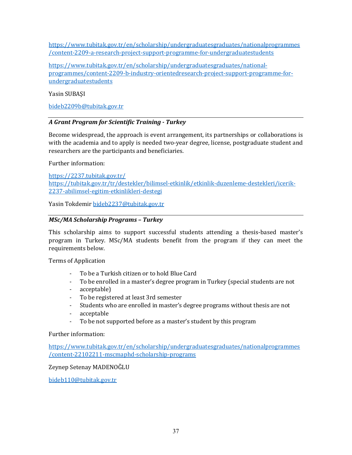[https://www.tubitak.gov.tr/en/scholarship/undergraduatesgraduates/nationalprogrammes](https://www.tubitak.gov.tr/en/scholarship/undergraduatesgraduates/nationalprogrammes/content-2209-a-research-project-support-programme-for-undergraduatestudents) [/content-2209-a-research-project-support-programme-for-undergraduatestudents](https://www.tubitak.gov.tr/en/scholarship/undergraduatesgraduates/nationalprogrammes/content-2209-a-research-project-support-programme-for-undergraduatestudents) 

[https://www.tubitak.gov.tr/en/scholarship/undergraduatesgraduates/national](https://www.tubitak.gov.tr/en/scholarship/undergraduatesgraduates/national-programmes/content-2209-b-industry-orientedresearch-project-support-programme-for-undergraduatestudents)[programmes/content-2209-b-industry-orientedresearch-project-support-programme-for](https://www.tubitak.gov.tr/en/scholarship/undergraduatesgraduates/national-programmes/content-2209-b-industry-orientedresearch-project-support-programme-for-undergraduatestudents)[undergraduatestudents](https://www.tubitak.gov.tr/en/scholarship/undergraduatesgraduates/national-programmes/content-2209-b-industry-orientedresearch-project-support-programme-for-undergraduatestudents)

Yasin SUBAŞI

[bideb2209b@tubitak.gov.tr](mailto:bideb2209b@tubitak.gov.tr) 

## *A Grant Program for Scientific Training - Turkey*

Become widespread, the approach is event arrangement, its partnerships or collaborations is with the academia and to apply is needed two-year degree, license, postgraduate student and researchers are the participants and beneficiaries.

Further information:

<https://2237.tubitak.gov.tr/> [https://tubitak.gov.tr/tr/destekler/bilimsel-etkinlik/etkinlik-duzenleme-destekleri/icerik-](https://tubitak.gov.tr/tr/destekler/bilimsel-etkinlik/etkinlik-duzenleme-destekleri/icerik-2237-abilimsel-egitim-etkinlikleri-destegi)[2237-abilimsel-egitim-etkinlikleri-destegi](https://tubitak.gov.tr/tr/destekler/bilimsel-etkinlik/etkinlik-duzenleme-destekleri/icerik-2237-abilimsel-egitim-etkinlikleri-destegi)

Yasin Tokdemir [bideb2237@tubitak.gov.tr](mailto:bideb2237@tubitak.gov.tr)

## *MSc/MA Scholarship Programs – Turkey*

This scholarship aims to support successful students attending a thesis-based master's program in Turkey. MSc/MA students benefit from the program if they can meet the requirements below.

Terms of Application

- To be a Turkish citizen or to hold Blue Card
- To be enrolled in a master's degree program in Turkey (special students are not
- acceptable)
- To be registered at least 3rd semester
- Students who are enrolled in master's degree programs without thesis are not
- acceptable
- To be not supported before as a master's student by this program

Further information:

[https://www.tubitak.gov.tr/en/scholarship/undergraduatesgraduates/nationalprogrammes](https://www.tubitak.gov.tr/en/scholarship/undergraduatesgraduates/nationalprogrammes/content-22102211-mscmaphd-scholarship-programs) [/content-22102211-mscmaphd-scholarship-programs](https://www.tubitak.gov.tr/en/scholarship/undergraduatesgraduates/nationalprogrammes/content-22102211-mscmaphd-scholarship-programs) 

Zeynep Setenay MADENOĞLU

[bideb110@tubitak.gov.tr](mailto:bideb110@tubitak.gov.tr)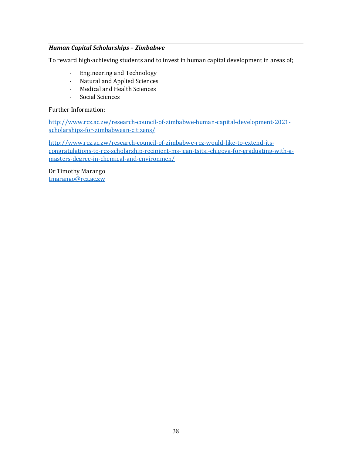## *Human Capital Scholarships – Zimbabwe*

To reward high-achieving students and to invest in human capital development in areas of;

- Engineering and Technology
- Natural and Applied Sciences
- Medical and Health Sciences
- Social Sciences

Further Information:

[http://www.rcz.ac.zw/research-council-of-zimbabwe-human-capital-development-2021](http://www.rcz.ac.zw/research-council-of-zimbabwe-human-capital-development-2021-scholarships-for-zimbabwean-citizens/) [scholarships-for-zimbabwean-citizens/](http://www.rcz.ac.zw/research-council-of-zimbabwe-human-capital-development-2021-scholarships-for-zimbabwean-citizens/) 

[http://www.rcz.ac.zw/research-council-of-zimbabwe-rcz-would-like-to-extend-its](http://www.rcz.ac.zw/research-council-of-zimbabwe-rcz-would-like-to-extend-its-congratulations-to-rcz-scholarship-recipient-ms-jean-tsitsi-chigova-for-graduating-with-a-masters-degree-in-chemical-and-environmen/)[congratulations-to-rcz-scholarship-recipient-ms-jean-tsitsi-chigova-for-graduating-with-a](http://www.rcz.ac.zw/research-council-of-zimbabwe-rcz-would-like-to-extend-its-congratulations-to-rcz-scholarship-recipient-ms-jean-tsitsi-chigova-for-graduating-with-a-masters-degree-in-chemical-and-environmen/)[masters-degree-in-chemical-and-environmen/](http://www.rcz.ac.zw/research-council-of-zimbabwe-rcz-would-like-to-extend-its-congratulations-to-rcz-scholarship-recipient-ms-jean-tsitsi-chigova-for-graduating-with-a-masters-degree-in-chemical-and-environmen/) 

<span id="page-37-0"></span>Dr Timothy Marango [tmarango@rcz.ac.zw](mailto:tmarango@rcz.ac.zw)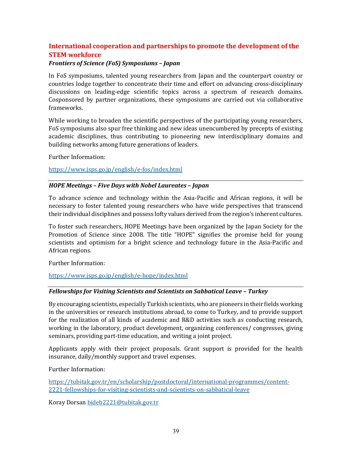## **International cooperation and partnerships to promote the development of the STEM workforce**

#### *Frontiers of Science (FoS) Symposiums – Japan*

In FoS symposiums, talented young researchers from Japan and the counterpart country or countries lodge together to concentrate their time and effort on advancing cross-disciplinary discussions on leading-edge scientific topics across a spectrum of research domains. Cosponsored by partner organizations, these symposiums are carried out via collaborative frameworks.

While working to broaden the scientific perspectives of the participating young researchers, FoS symposiums also spur free thinking and new ideas unencumbered by precepts of existing academic disciplines, thus contributing to pioneering new interdisciplinary domains and building networks among future generations of leaders.

Further Information:

<https://www.jsps.go.jp/english/e-fos/index.html>

#### *HOPE Meetings – Five Days with Nobel Laureates – Japan*

To advance science and technology within the Asia-Pacific and African regions, it will be necessary to foster talented young researchers who have wide perspectives that transcend their individual disciplines and possess lofty values derived from the region's inherent cultures.

To foster such researchers, HOPE Meetings have been organized by the Japan Society for the Promotion of Science since 2008. The title "HOPE" signifies the promise held for young scientists and optimism for a bright science and technology future in the Asia-Pacific and African regions.

Further Information:

#### <https://www.jsps.go.jp/english/e-hope/index.html>

#### *Fellowships for Visiting Scientists and Scientists on Sabbatical Leave – Turkey*

By encouraging scientists, especially Turkish scientists, who are pioneers in their fields working in the universities or research institutions abroad, to come to Turkey, and to provide support for the realization of all kinds of academic and R&D activities such as conducting research, working in the laboratory, product development, organizing conferences/ congresses, giving seminars, providing part-time education, and writing a joint project.

Applicants apply with their project proposals. Grant support is provided for the health insurance, daily/monthly support and travel expenses.

Further Information:

[https://tubitak.gov.tr/en/scholarship/postdoctoral/international-programmes/content-](https://tubitak.gov.tr/en/scholarship/postdoctoral/international-programmes/content-2221-fellowships-for-visiting-scientists-and-scientists-on-sabbatical-leave)[2221-fellowships-for-visiting-scientists-and-scientists-on-sabbatical-leave](https://tubitak.gov.tr/en/scholarship/postdoctoral/international-programmes/content-2221-fellowships-for-visiting-scientists-and-scientists-on-sabbatical-leave)

Koray Dorsan [bideb2221@tubitak.gov.tr](mailto:bideb2221@tubitak.gov.tr)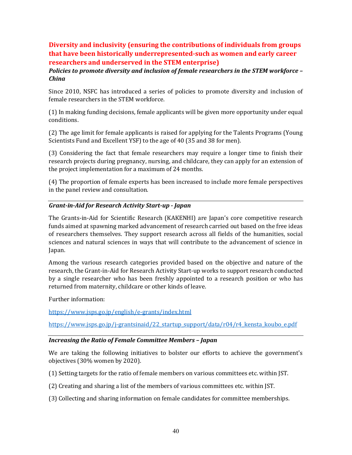## <span id="page-39-0"></span>**Diversity and inclusivity (ensuring the contributions of individuals from groups that have been historically underrepresented-such as women and early career researchers and underserved in the STEM enterprise)**

## *Policies to promote diversity and inclusion of female researchers in the STEM workforce – China*

Since 2010, NSFC has introduced a series of policies to promote diversity and inclusion of female researchers in the STEM workforce.

(1) In making funding decisions, female applicants will be given more opportunity under equal conditions.

(2) The age limit for female applicants is raised for applying for the Talents Programs (Young Scientists Fund and Excellent YSF) to the age of 40 (35 and 38 for men).

(3) Considering the fact that female researchers may require a longer time to finish their research projects during pregnancy, nursing, and childcare, they can apply for an extension of the project implementation for a maximum of 24 months.

(4) The proportion of female experts has been increased to include more female perspectives in the panel review and consultation.

## *Grant-in-Aid for Research Activity Start-up - Japan*

The Grants-in-Aid for Scientific Research (KAKENHI) are Japan's core competitive research funds aimed at spawning marked advancement of research carried out based on the free ideas of researchers themselves. They support research across all fields of the humanities, social sciences and natural sciences in ways that will contribute to the advancement of science in Japan.

Among the various research categories provided based on the objective and nature of the research, the Grant-in-Aid for Research Activity Start-up works to support research conducted by a single researcher who has been freshly appointed to a research position or who has returned from maternity, childcare or other kinds of leave.

Further information:

<https://www.jsps.go.jp/english/e-grants/index.html>

https://www.jsps.go.jp/j-grantsinaid/22\_startup\_support/data/r04/r4\_kensta\_koubo\_e.pdf

#### *Increasing the Ratio of Female Committee Members – Japan*

We are taking the following initiatives to bolster our efforts to achieve the government's objectives (30% women by 2020).

- (1) Setting targets for the ratio of female members on various committees etc. within JST.
- (2) Creating and sharing a list of the members of various committees etc. within JST.
- (3) Collecting and sharing information on female candidates for committee memberships.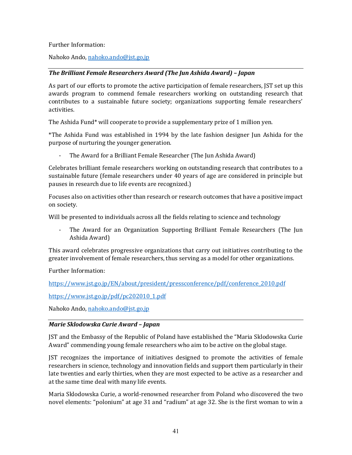Further Information:

Nahoko Ando[, nahoko.ando@jst.go,jp](mailto:nahoko.ando@jst.go,jp) 

### *The Brilliant Female Researchers Award (The Jun Ashida Award) – Japan*

As part of our efforts to promote the active participation of female researchers, JST set up this awards program to commend female researchers working on outstanding research that contributes to a sustainable future society; organizations supporting female researchers' activities.

The Ashida Fund\* will cooperate to provide a supplementary prize of 1 million yen.

\*The Ashida Fund was established in 1994 by the late fashion designer Jun Ashida for the purpose of nurturing the younger generation.

The Award for a Brilliant Female Researcher (The Jun Ashida Award)

Celebrates brilliant female researchers working on outstanding research that contributes to a sustainable future (female researchers under 40 years of age are considered in principle but pauses in research due to life events are recognized.)

Focuses also on activities other than research or research outcomes that have a positive impact on society.

Will be presented to individuals across all the fields relating to science and technology

The Award for an Organization Supporting Brilliant Female Researchers (The Jun Ashida Award)

This award celebrates progressive organizations that carry out initiatives contributing to the greater involvement of female researchers, thus serving as a model for other organizations.

Further Information:

[https://www.jst.go.jp/EN/about/president/pressconference/pdf/conference\\_2010.pdf](https://www.jst.go.jp/EN/about/president/pressconference/pdf/conference_2010.pdf) 

[https://www.jst.go.jp/pdf/pc202010\\_1.pdf](https://www.jst.go.jp/pdf/pc202010_1.pdf) 

Nahoko Ando[, nahoko.ando@jst.go,jp](mailto:nahoko.ando@jst.go,jp)

#### *Marie Sklodowska Curie Award – Japan*

JST and the Embassy of the Republic of Poland have established the "Maria Sklodowska Curie Award" commending young female researchers who aim to be active on the global stage.

JST recognizes the importance of initiatives designed to promote the activities of female researchers in science, technology and innovation fields and support them particularly in their late twenties and early thirties, when they are most expected to be active as a researcher and at the same time deal with many life events.

Maria Sklodowska Curie, a world-renowned researcher from Poland who discovered the two novel elements: "polonium" at age 31 and "radium" at age 32. She is the first woman to win a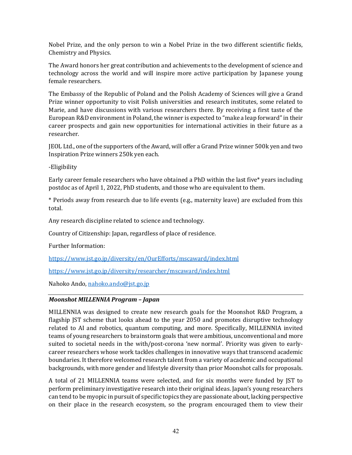Nobel Prize, and the only person to win a Nobel Prize in the two different scientific fields, Chemistry and Physics.

The Award honors her great contribution and achievements to the development of science and technology across the world and will inspire more active participation by Japanese young female researchers.

The Embassy of the Republic of Poland and the Polish Academy of Sciences will give a Grand Prize winner opportunity to visit Polish universities and research institutes, some related to Marie, and have discussions with various researchers there. By receiving a first taste of the European R&D environment in Poland, the winner is expected to "make a leap forward" in their career prospects and gain new opportunities for international activities in their future as a researcher.

JEOL Ltd., one of the supporters of the Award, will offer a Grand Prize winner 500k yen and two Inspiration Prize winners 250k yen each.

-Eligibility

Early career female researchers who have obtained a PhD within the last five\* years including postdoc as of April 1, 2022, PhD students, and those who are equivalent to them.

\* Periods away from research due to life events (e.g., maternity leave) are excluded from this total.

Any research discipline related to science and technology.

Country of Citizenship: Japan, regardless of place of residence.

Further Information:

<https://www.jst.go.jp/diversity/en/OurEfforts/mscaward/index.html>

<https://www.jst.go.jp/diversity/researcher/mscaward/index.html>

Nahoko Ando[, nahoko.ando@jst.go.jp](mailto:nahoko.ando@jst.go.jp) 

#### *Moonshot MILLENNIA Program – Japan*

MILLENNIA was designed to create new research goals for the Moonshot R&D Program, a flagship JST scheme that looks ahead to the year 2050 and promotes disruptive technology related to AI and robotics, quantum computing, and more. Specifically, MILLENNIA invited teams of young researchers to brainstorm goals that were ambitious, unconventional and more suited to societal needs in the with/post-corona 'new normal'. Priority was given to earlycareer researchers whose work tackles challenges in innovative ways that transcend academic boundaries. It therefore welcomed research talent from a variety of academic and occupational backgrounds, with more gender and lifestyle diversity than prior Moonshot calls for proposals.

A total of 21 MILLENNIA teams were selected, and for six months were funded by JST to perform preliminary investigative research into their original ideas. Japan's young researchers can tend to be myopic in pursuit of specific topics they are passionate about, lacking perspective on their place in the research ecosystem, so the program encouraged them to view their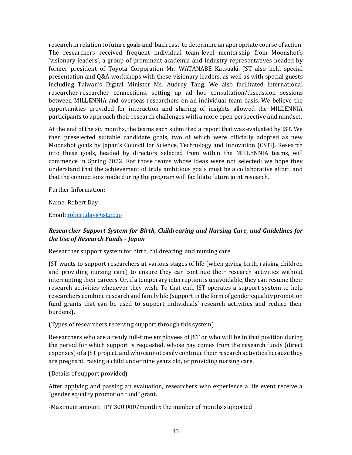research in relation to future goals and 'back cast' to determine an appropriate course of action. The researchers received frequent individual team-level mentorship from Moonshot's 'visionary leaders', a group of prominent academia and industry representatives headed by former president of Toyota Corporation Mr. WATANABE Katsuaki. JST also held special presentation and Q&A workshops with these visionary leaders, as well as with special guests including Taiwan's Digital Minister Ms. Audrey Tang. We also facilitated international researcher-researcher connections, setting up ad hoc consultation/discussion sessions between MILLENNIA and overseas researchers on an individual team basis. We believe the opportunities provided for interaction and sharing of insights allowed the MILLENNIA participants to approach their research challenges with a more open perspective and mindset.

At the end of the six months, the teams each submitted a report that was evaluated by JST. We then preselected suitable candidate goals, two of which were officially adopted as new Moonshot goals by Japan's Council for Science, Technology and Innovation (CSTI). Research into these goals, headed by directors selected from within the MILLENNIA teams, will commence in Spring 2022. For those teams whose ideas were not selected: we hope they understand that the achievement of truly ambitious goals must be a collaborative effort, and that the connections made during the program will facilitate future joint research.

Further Information:

Name: Robert Day

Email: [robert.day@jst.go.jp](mailto:robert.day@jst.go.jp) 

## *Researcher Support System for Birth, Childrearing and Nursing Care, and Guidelines for the Use of Research Funds – Japan*

Researcher support system for birth, childrearing, and nursing care

JST wants to support researchers at various stages of life (when giving birth, raising children and providing nursing care) to ensure they can continue their research activities without interrupting their careers. Or, if a temporary interruption is unavoidable, they can resume their research activities whenever they wish. To that end, JST operates a support system to help researchers combine research and family life (support in the form of gender equality promotion fund grants that can be used to support individuals' research activities and reduce their burdens).

(Types of researchers receiving support through this system)

Researchers who are already full-time employees of JST or who will be in that position during the period for which support is requested, whose pay comes from the research funds (direct expenses) of a JST project, and who cannot easily continue their research activities because they are pregnant, raising a child under nine years old, or providing nursing care.

(Details of support provided)

After applying and passing an evaluation, researchers who experience a life event receive a "gender equality promotion fund" grant.

-Maximum amount: JPY 300 000/month x the number of months supported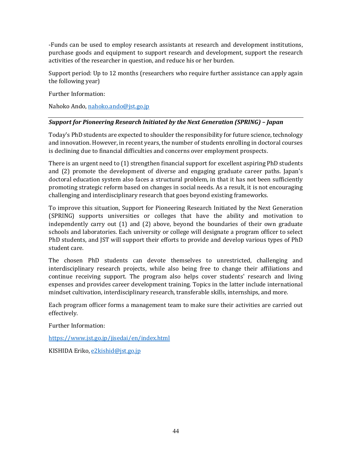-Funds can be used to employ research assistants at research and development institutions, purchase goods and equipment to support research and development, support the research activities of the researcher in question, and reduce his or her burden.

Support period: Up to 12 months (researchers who require further assistance can apply again the following year)

Further Information:

Nahoko Ando[, nahoko.ando@jst.go.jp](mailto:nahoko.ando@jst.go.jp) 

## *Support for Pioneering Research Initiated by the Next Generation (SPRING) – Japan*

Today's PhD students are expected to shoulder the responsibility for future science, technology and innovation. However, in recent years, the number of students enrolling in doctoral courses is declining due to financial difficulties and concerns over employment prospects.

There is an urgent need to (1) strengthen financial support for excellent aspiring PhD students and (2) promote the development of diverse and engaging graduate career paths. Japan's doctoral education system also faces a structural problem, in that it has not been sufficiently promoting strategic reform based on changes in social needs. As a result, it is not encouraging challenging and interdisciplinary research that goes beyond existing frameworks.

To improve this situation, Support for Pioneering Research Initiated by the Next Generation (SPRING) supports universities or colleges that have the ability and motivation to independently carry out (1) and (2) above, beyond the boundaries of their own graduate schools and laboratories. Each university or college will designate a program officer to select PhD students, and JST will support their efforts to provide and develop various types of PhD student care.

The chosen PhD students can devote themselves to unrestricted, challenging and interdisciplinary research projects, while also being free to change their affiliations and continue receiving support. The program also helps cover students' research and living expenses and provides career development training. Topics in the latter include international mindset cultivation, interdisciplinary research, transferable skills, internships, and more.

Each program officer forms a management team to make sure their activities are carried out effectively.

Further Information:

<https://www.jst.go.jp/jisedai/en/index.html>

KISHIDA Eriko, [e2kishid@jst.go.jp](mailto:e2kishid@jst.go.jp)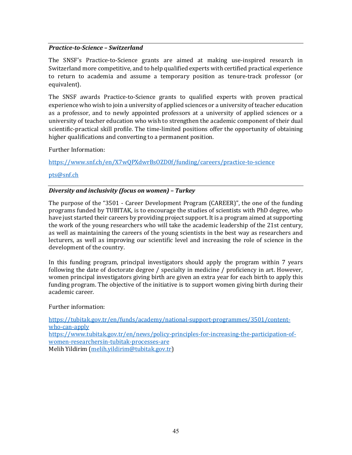#### *Practice-to-Science – Switzerland*

The SNSF's Practice-to-Science grants are aimed at making use-inspired research in Switzerland more competitive, and to help qualified experts with certified practical experience to return to academia and assume a temporary position as tenure-track professor (or equivalent).

The SNSF awards Practice-to-Science grants to qualified experts with proven practical experience who wish to join a university of applied sciences or a university of teacher education as a professor, and to newly appointed professors at a university of applied sciences or a university of teacher education who wish to strengthen the academic component of their dual scientific-practical skill profile. The time-limited positions offer the opportunity of obtaining higher qualifications and converting to a permanent position.

Further Information:

<https://www.snf.ch/en/X7wQPXdwrBsOZD0f/funding/careers/practice-to-science>

#### [pts@snf.ch](mailto:pts@snf.ch)

#### *Diversity and inclusivity (focus on women) – Turkey*

The purpose of the "3501 - Career Development Program (CAREER)", the one of the funding programs funded by TUBITAK, is to encourage the studies of scientists with PhD degree, who have just started their careers by providing project support. It is a program aimed at supporting the work of the young researchers who will take the academic leadership of the 21st century, as well as maintaining the careers of the young scientists in the best way as researchers and lecturers, as well as improving our scientific level and increasing the role of science in the development of the country.

In this funding program, principal investigators should apply the program within 7 years following the date of doctorate degree / specialty in medicine / proficiency in art. However, women principal investigators giving birth are given an extra year for each birth to apply this funding program. The objective of the initiative is to support women giving birth during their academic career.

Further information:

[https://tubitak.gov.tr/en/funds/academy/national-support-programmes/3501/content](https://tubitak.gov.tr/en/funds/academy/national-support-programmes/3501/content-who-can-apply)[who-can-apply](https://tubitak.gov.tr/en/funds/academy/national-support-programmes/3501/content-who-can-apply) [https://www.tubitak.gov.tr/en/news/policy-principles-for-increasing-the-participation-of](https://www.tubitak.gov.tr/en/news/policy-principles-for-increasing-the-participation-of-women-researchersin-tubitak-processes-are)[women-researchersin-tubitak-processes-are](https://www.tubitak.gov.tr/en/news/policy-principles-for-increasing-the-participation-of-women-researchersin-tubitak-processes-are) Melih Yildirim [\(melih.yildirim@tubitak.gov.tr\)](mailto:melih.yildirim@tubitak.gov.tr)